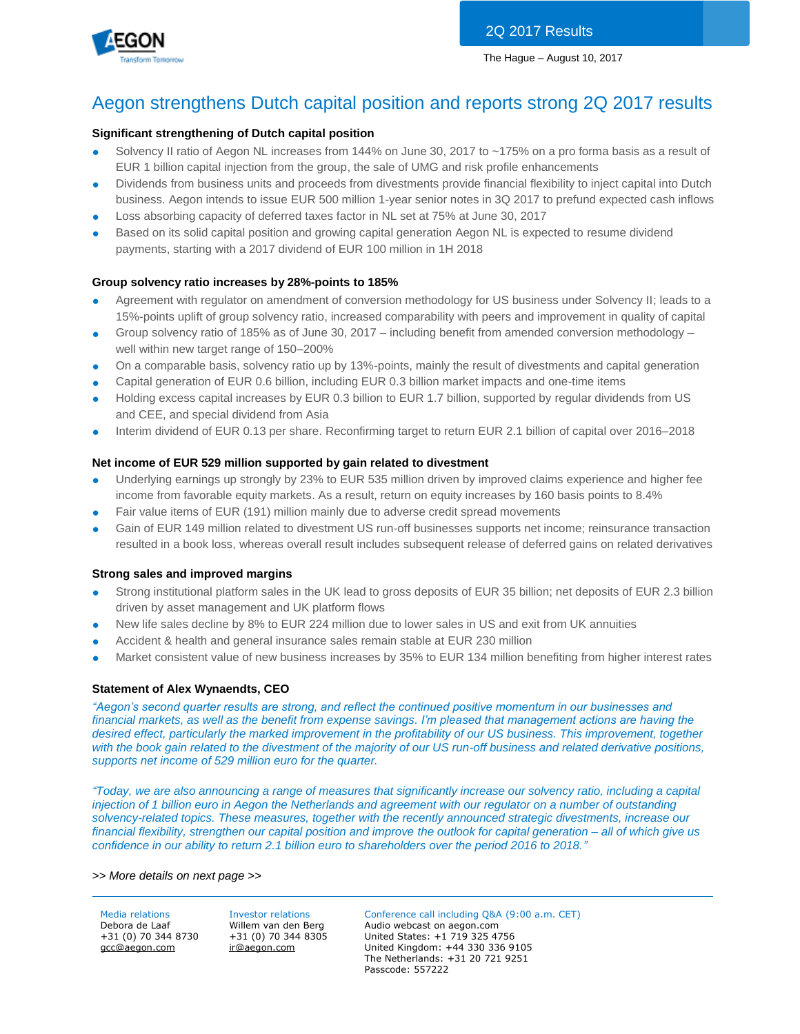



## Aegon strengthens Dutch capital position and reports strong 2Q 2017 results

## **Significant strengthening of Dutch capital position**

- Solvency II ratio of Aegon NL increases from 144% on June 30, 2017 to ~175% on a pro forma basis as a result of EUR 1 billion capital injection from the group, the sale of UMG and risk profile enhancements
- Dividends from business units and proceeds from divestments provide financial flexibility to inject capital into Dutch business. Aegon intends to issue EUR 500 million 1-year senior notes in 3Q 2017 to prefund expected cash inflows
- Loss absorbing capacity of deferred taxes factor in NL set at 75% at June 30, 2017
- Based on its solid capital position and growing capital generation Aegon NL is expected to resume dividend payments, starting with a 2017 dividend of EUR 100 million in 1H 2018

## **Group solvency ratio increases by 28%-points to 185%**

- Agreement with regulator on amendment of conversion methodology for US business under Solvency II; leads to a 15%-points uplift of group solvency ratio, increased comparability with peers and improvement in quality of capital
- Group solvency ratio of 185% as of June 30, 2017 including benefit from amended conversion methodology well within new target range of 150–200%
- On a comparable basis, solvency ratio up by 13%-points, mainly the result of divestments and capital generation
- Capital generation of EUR 0.6 billion, including EUR 0.3 billion market impacts and one-time items
- Holding excess capital increases by EUR 0.3 billion to EUR 1.7 billion, supported by regular dividends from US and CEE, and special dividend from Asia
- Interim dividend of EUR 0.13 per share. Reconfirming target to return EUR 2.1 billion of capital over 2016–2018

### **Net income of EUR 529 million supported by gain related to divestment**

- Underlying earnings up strongly by 23% to EUR 535 million driven by improved claims experience and higher fee income from favorable equity markets. As a result, return on equity increases by 160 basis points to 8.4%
- Fair value items of EUR (191) million mainly due to adverse credit spread movements
- Gain of EUR 149 million related to divestment US run-off businesses supports net income; reinsurance transaction resulted in a book loss, whereas overall result includes subsequent release of deferred gains on related derivatives

## **Strong sales and improved margins**

- Strong institutional platform sales in the UK lead to gross deposits of EUR 35 billion; net deposits of EUR 2.3 billion driven by asset management and UK platform flows
- New life sales decline by 8% to EUR 224 million due to lower sales in US and exit from UK annuities
- Accident & health and general insurance sales remain stable at EUR 230 million
- Market consistent value of new business increases by 35% to EUR 134 million benefiting from higher interest rates

### **Statement of Alex Wynaendts, CEO**

*"Aegon's second quarter results are strong, and reflect the continued positive momentum in our businesses and financial markets, as well as the benefit from expense savings. I'm pleased that management actions are having the desired effect, particularly the marked improvement in the profitability of our US business. This improvement, together with the book gain related to the divestment of the majority of our US run-off business and related derivative positions, supports net income of 529 million euro for the quarter.*

*"Today, we are also announcing a range of measures that significantly increase our solvency ratio, including a capital injection of 1 billion euro in Aegon the Netherlands and agreement with our regulator on a number of outstanding solvency-related topics. These measures, together with the recently announced strategic divestments, increase our financial flexibility, strengthen our capital position and improve the outlook for capital generation – all of which give us confidence in our ability to return 2.1 billion euro to shareholders over the period 2016 to 2018."*

*>> More details on next page >>* 

+31 (0) 70 344 8730 [gcc@aegon.com](mailto:gcc@aegon.com)

+31 (0) 70 344 8305 [ir@aegon.com](mailto:ir@aegon.com)

Media relations Investor relations Conference call including Q&A (9:00 a.m. CET) Debora de Laaf Willem van den Berg Audio webcast on aegon.com United States: +1 719 325 4756 United Kingdom: +44 330 336 9105 The Netherlands: +31 20 721 9251 Passcode: 557222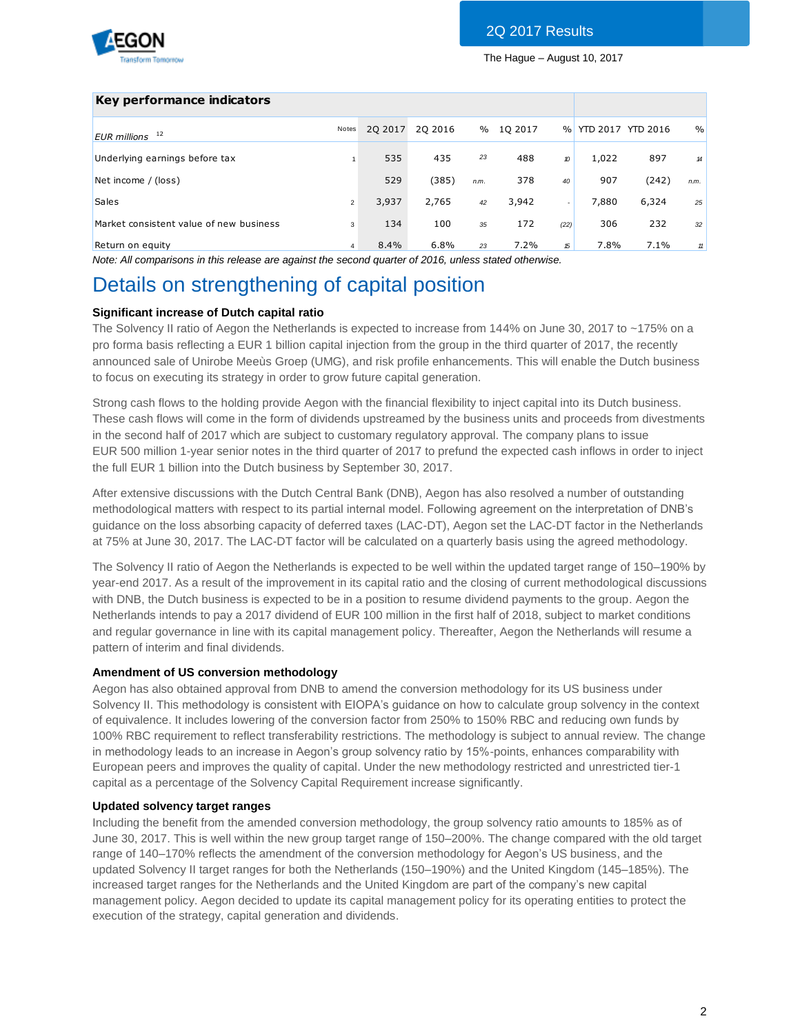

## **Key performance indicators**

| <b>Report Follows</b> make to be        |                |          |         |      |         |                  |                     |       |               |
|-----------------------------------------|----------------|----------|---------|------|---------|------------------|---------------------|-------|---------------|
| 12<br><b>EUR</b> millions               | Notes          | 20 20 17 | 20 2016 | $\%$ | 10 2017 |                  | % YTD 2017 YTD 2016 |       | $\frac{0}{0}$ |
| Underlying earnings before tax          |                | 535      | 435     | 23   | 488     | $\boldsymbol{v}$ | 1,022               | 897   | 14            |
| Net income / (loss)                     |                | 529      | (385)   | n.m. | 378     | 40               | 907                 | (242) | n.m.          |
| <b>Sales</b>                            | $\overline{2}$ | 3,937    | 2,765   | 42   | 3,942   |                  | 7,880               | 6,324 | 25            |
| Market consistent value of new business | 3              | 134      | 100     | 35   | 172     | (22)             | 306                 | 232   | 32            |
| Return on equity                        | 4              | 8.4%     | 6.8%    | 23   | 7.2%    | 15               | 7.8%                | 7.1%  | 11            |

*Note: All comparisons in this release are against the second quarter of 2016, unless stated otherwise.*

# Details on strengthening of capital position

## **Significant increase of Dutch capital ratio**

The Solvency II ratio of Aegon the Netherlands is expected to increase from 144% on June 30, 2017 to ~175% on a pro forma basis reflecting a EUR 1 billion capital injection from the group in the third quarter of 2017, the recently announced sale of Unirobe Meeùs Groep (UMG), and risk profile enhancements. This will enable the Dutch business to focus on executing its strategy in order to grow future capital generation.

Strong cash flows to the holding provide Aegon with the financial flexibility to inject capital into its Dutch business. These cash flows will come in the form of dividends upstreamed by the business units and proceeds from divestments in the second half of 2017 which are subject to customary regulatory approval. The company plans to issue EUR 500 million 1-year senior notes in the third quarter of 2017 to prefund the expected cash inflows in order to inject the full EUR 1 billion into the Dutch business by September 30, 2017.

After extensive discussions with the Dutch Central Bank (DNB), Aegon has also resolved a number of outstanding methodological matters with respect to its partial internal model. Following agreement on the interpretation of DNB's guidance on the loss absorbing capacity of deferred taxes (LAC-DT), Aegon set the LAC-DT factor in the Netherlands at 75% at June 30, 2017. The LAC-DT factor will be calculated on a quarterly basis using the agreed methodology.

The Solvency II ratio of Aegon the Netherlands is expected to be well within the updated target range of 150–190% by year-end 2017. As a result of the improvement in its capital ratio and the closing of current methodological discussions with DNB, the Dutch business is expected to be in a position to resume dividend payments to the group. Aegon the Netherlands intends to pay a 2017 dividend of EUR 100 million in the first half of 2018, subject to market conditions and regular governance in line with its capital management policy. Thereafter, Aegon the Netherlands will resume a pattern of interim and final dividends.

### **Amendment of US conversion methodology**

Aegon has also obtained approval from DNB to amend the conversion methodology for its US business under Solvency II. This methodology is consistent with EIOPA's guidance on how to calculate group solvency in the context of equivalence. It includes lowering of the conversion factor from 250% to 150% RBC and reducing own funds by 100% RBC requirement to reflect transferability restrictions. The methodology is subject to annual review. The change in methodology leads to an increase in Aegon's group solvency ratio by 15%-points, enhances comparability with European peers and improves the quality of capital. Under the new methodology restricted and unrestricted tier-1 capital as a percentage of the Solvency Capital Requirement increase significantly.

### **Updated solvency target ranges**

Including the benefit from the amended conversion methodology, the group solvency ratio amounts to 185% as of June 30, 2017. This is well within the new group target range of 150–200%. The change compared with the old target range of 140–170% reflects the amendment of the conversion methodology for Aegon's US business, and the updated Solvency II target ranges for both the Netherlands (150–190%) and the United Kingdom (145–185%). The increased target ranges for the Netherlands and the United Kingdom are part of the company's new capital management policy. Aegon decided to update its capital management policy for its operating entities to protect the execution of the strategy, capital generation and dividends.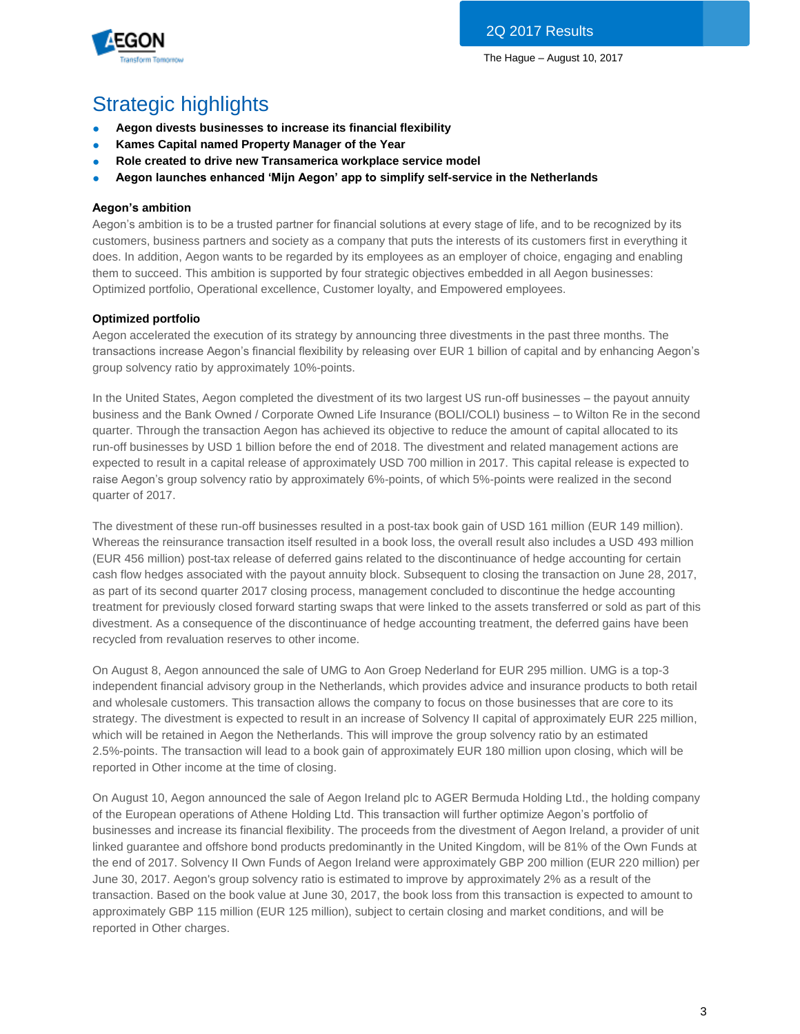

# Strategic highlights

- **Aegon divests businesses to increase its financial flexibility**
- **Kames Capital named Property Manager of the Year**
- **Role created to drive new Transamerica workplace service model**
- **Aegon launches enhanced 'Mijn Aegon' app to simplify self-service in the Netherlands**

## **Aegon's ambition**

Aegon's ambition is to be a trusted partner for financial solutions at every stage of life, and to be recognized by its customers, business partners and society as a company that puts the interests of its customers first in everything it does. In addition, Aegon wants to be regarded by its employees as an employer of choice, engaging and enabling them to succeed. This ambition is supported by four strategic objectives embedded in all Aegon businesses: Optimized portfolio, Operational excellence, Customer loyalty, and Empowered employees.

## **Optimized portfolio**

Aegon accelerated the execution of its strategy by announcing three divestments in the past three months. The transactions increase Aegon's financial flexibility by releasing over EUR 1 billion of capital and by enhancing Aegon's group solvency ratio by approximately 10%-points.

In the United States, Aegon completed the divestment of its two largest US run-off businesses – the payout annuity business and the Bank Owned / Corporate Owned Life Insurance (BOLI/COLI) business – to Wilton Re in the second quarter. Through the transaction Aegon has achieved its objective to reduce the amount of capital allocated to its run-off businesses by USD 1 billion before the end of 2018. The divestment and related management actions are expected to result in a capital release of approximately USD 700 million in 2017. This capital release is expected to raise Aegon's group solvency ratio by approximately 6%-points, of which 5%-points were realized in the second quarter of 2017.

The divestment of these run-off businesses resulted in a post-tax book gain of USD 161 million (EUR 149 million). Whereas the reinsurance transaction itself resulted in a book loss, the overall result also includes a USD 493 million (EUR 456 million) post-tax release of deferred gains related to the discontinuance of hedge accounting for certain cash flow hedges associated with the payout annuity block. Subsequent to closing the transaction on June 28, 2017, as part of its second quarter 2017 closing process, management concluded to discontinue the hedge accounting treatment for previously closed forward starting swaps that were linked to the assets transferred or sold as part of this divestment. As a consequence of the discontinuance of hedge accounting treatment, the deferred gains have been recycled from revaluation reserves to other income.

On August 8, Aegon announced the sale of UMG to Aon Groep Nederland for EUR 295 million. UMG is a top-3 independent financial advisory group in the Netherlands, which provides advice and insurance products to both retail and wholesale customers. This transaction allows the company to focus on those businesses that are core to its strategy. The divestment is expected to result in an increase of Solvency II capital of approximately EUR 225 million, which will be retained in Aegon the Netherlands. This will improve the group solvency ratio by an estimated 2.5%-points. The transaction will lead to a book gain of approximately EUR 180 million upon closing, which will be reported in Other income at the time of closing.

On August 10, Aegon announced the sale of Aegon Ireland plc to AGER Bermuda Holding Ltd., the holding company of the European operations of Athene Holding Ltd. This transaction will further optimize Aegon's portfolio of businesses and increase its financial flexibility. The proceeds from the divestment of Aegon Ireland, a provider of unit linked guarantee and offshore bond products predominantly in the United Kingdom, will be 81% of the Own Funds at the end of 2017. Solvency II Own Funds of Aegon Ireland were approximately GBP 200 million (EUR 220 million) per June 30, 2017. Aegon's group solvency ratio is estimated to improve by approximately 2% as a result of the transaction. Based on the book value at June 30, 2017, the book loss from this transaction is expected to amount to approximately GBP 115 million (EUR 125 million), subject to certain closing and market conditions, and will be reported in Other charges.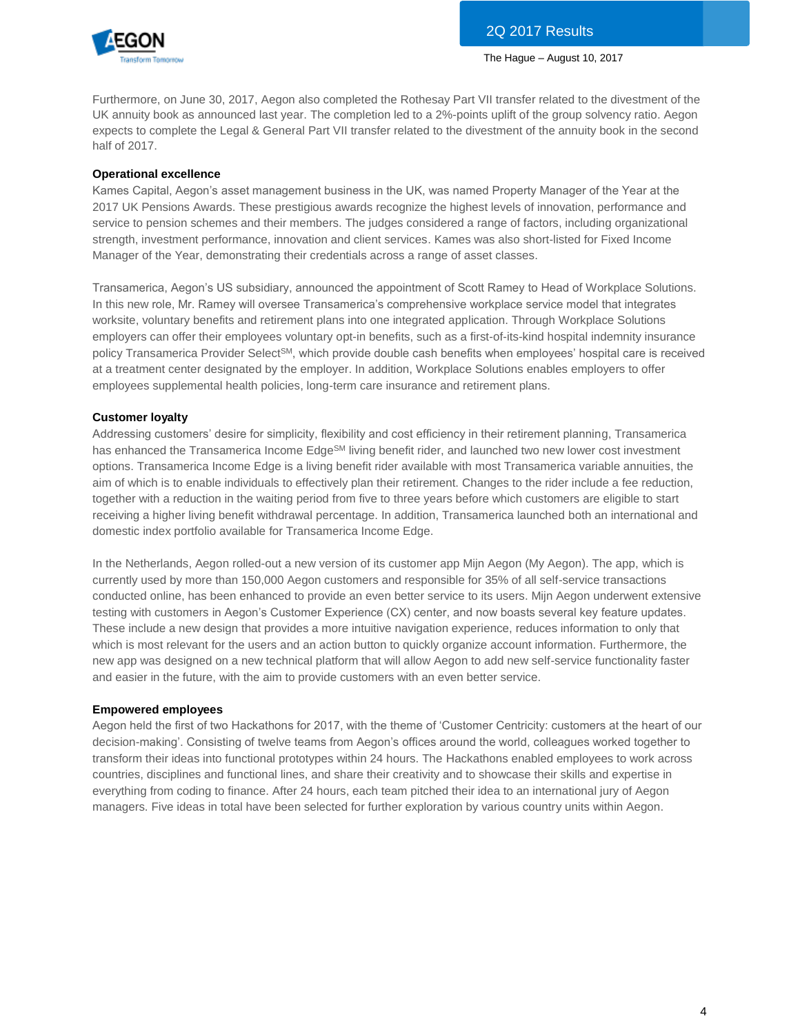

Furthermore, on June 30, 2017, Aegon also completed the Rothesay Part VII transfer related to the divestment of the UK annuity book as announced last year. The completion led to a 2%-points uplift of the group solvency ratio. Aegon expects to complete the Legal & General Part VII transfer related to the divestment of the annuity book in the second half of 2017.

## **Operational excellence**

Kames Capital, Aegon's asset management business in the UK, was named Property Manager of the Year at the 2017 UK Pensions Awards. These prestigious awards recognize the highest levels of innovation, performance and service to pension schemes and their members. The judges considered a range of factors, including organizational strength, investment performance, innovation and client services. Kames was also short-listed for Fixed Income Manager of the Year, demonstrating their credentials across a range of asset classes.

Transamerica, Aegon's US subsidiary, announced the appointment of Scott Ramey to Head of Workplace Solutions. In this new role, Mr. Ramey will oversee Transamerica's comprehensive workplace service model that integrates worksite, voluntary benefits and retirement plans into one integrated application. Through Workplace Solutions employers can offer their employees voluntary opt-in benefits, such as a first-of-its-kind hospital indemnity insurance policy Transamerica Provider SelectSM, which provide double cash benefits when employees' hospital care is received at a treatment center designated by the employer. In addition, Workplace Solutions enables employers to offer employees supplemental health policies, long-term care insurance and retirement plans.

## **Customer loyalty**

Addressing customers' desire for simplicity, flexibility and cost efficiency in their retirement planning, Transamerica has enhanced the Transamerica Income Edge<sup>SM</sup> living benefit rider, and launched two new lower cost investment options. Transamerica Income Edge is a living benefit rider available with most Transamerica variable annuities, the aim of which is to enable individuals to effectively plan their retirement. Changes to the rider include a fee reduction, together with a reduction in the waiting period from five to three years before which customers are eligible to start receiving a higher living benefit withdrawal percentage. In addition, Transamerica launched both an international and domestic index portfolio available for Transamerica Income Edge.

In the Netherlands, Aegon rolled-out a new version of its customer app Mijn Aegon (My Aegon). The app, which is currently used by more than 150,000 Aegon customers and responsible for 35% of all self-service transactions conducted online, has been enhanced to provide an even better service to its users. Mijn Aegon underwent extensive testing with customers in Aegon's Customer Experience (CX) center, and now boasts several key feature updates. These include a new design that provides a more intuitive navigation experience, reduces information to only that which is most relevant for the users and an action button to quickly organize account information. Furthermore, the new app was designed on a new technical platform that will allow Aegon to add new self-service functionality faster and easier in the future, with the aim to provide customers with an even better service.

### **Empowered employees**

Aegon held the first of two Hackathons for 2017, with the theme of 'Customer Centricity: customers at the heart of our decision-making'. Consisting of twelve teams from Aegon's offices around the world, colleagues worked together to transform their ideas into functional prototypes within 24 hours. The Hackathons enabled employees to work across countries, disciplines and functional lines, and share their creativity and to showcase their skills and expertise in everything from coding to finance. After 24 hours, each team pitched their idea to an international jury of Aegon managers. Five ideas in total have been selected for further exploration by various country units within Aegon.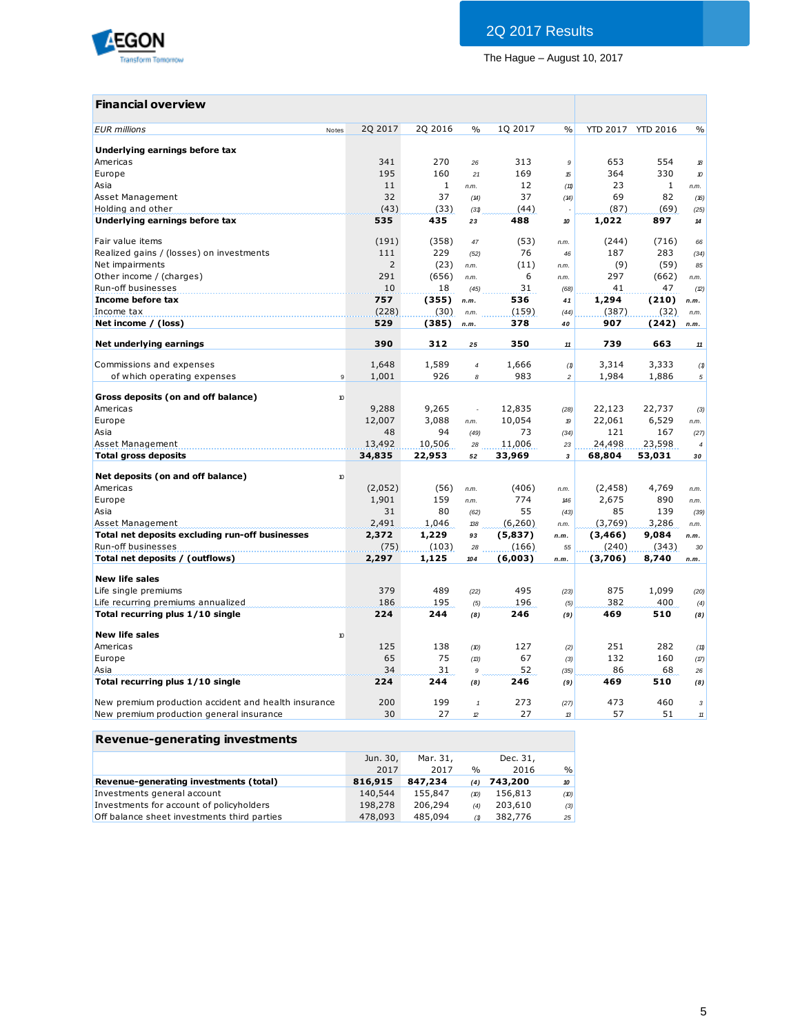

## **Financial overview**

| <b>EUR</b> millions<br>Notes                                    | 2Q 2017        | 2Q 2016      | $\%$                | 1Q 2017 | $\frac{0}{0}$  |          | YTD 2017 YTD 2016 | $\%$             |
|-----------------------------------------------------------------|----------------|--------------|---------------------|---------|----------------|----------|-------------------|------------------|
| Underlying earnings before tax                                  |                |              |                     |         |                |          |                   |                  |
| Americas                                                        | 341            | 270          | 26                  | 313     | 9              | 653      | 554               | 18               |
| Europe                                                          | 195            | 160          | 21                  | 169     | 15             | 364      | 330               | 10               |
| Asia                                                            | 11             | $\mathbf{1}$ | n.m.                | 12      | (11)           | 23       | 1                 | n.m.             |
| Asset Management                                                | 32             | 37           | (14)                | 37      | (14)           | 69       | 82                | (16)             |
| Holding and other                                               | (43)           | (33)         | (31)                | (44)    |                | (87)     | (69)              | (25)             |
| Underlying earnings before tax                                  | 535            | 435          | 23                  | 488     | 10             | 1,022    | 897               | 14               |
| Fair value items                                                | (191)          | (358)        | 47                  | (53)    | n.m.           | (244)    | (716)             | 66               |
| Realized gains / (losses) on investments                        | 111            | 229          | (52)                | 76      | 46             | 187      | 283               | (34)             |
| Net impairments                                                 | $\overline{2}$ | (23)         | n.m.                | (11)    | n.m.           | (9)      | (59)              | 85               |
| Other income / (charges)                                        | 291            | (656)        | n.m.                | 6       | n.m.           | 297      | (662)             | n.m.             |
| Run-off businesses                                              | 10             | 18           | (45)                | 31      | (68)           | 41       | 47                | (2)              |
| Income before tax                                               | 757            | (355)        | n.m.                | 536     | 41             | 1,294    | (210)             | n.m.             |
| Income tax                                                      | (228)          | (30)         | n.m.                | (159)   | (44)           | (387)    | (32)              | n.m.             |
| Net income / (loss)                                             | 529            | (385)        | n.m.                | 378     | 40             | 907      | (242)             | n.m.             |
| Net underlying earnings                                         | 390            | 312          | 25                  | 350     | 11             | 739      | 663               | 11               |
| Commissions and expenses                                        | 1,648          | 1,589        | $\overline{4}$      | 1,666   | (1)            | 3,314    | 3,333             | (1)              |
| of which operating expenses<br>9                                | 1,001          | 926          | 8                   | 983     | $\overline{c}$ | 1,984    | 1,886             | 5                |
|                                                                 |                |              |                     |         |                |          |                   |                  |
| Gross deposits (on and off balance)<br>$\boldsymbol{v}$         |                |              |                     |         |                |          |                   |                  |
| Americas                                                        | 9,288          | 9,265        |                     | 12,835  | (28)           | 22,123   | 22,737            | (3)              |
| Europe                                                          | 12,007         | 3,088        | n.m.                | 10,054  | 19             | 22,061   | 6,529             | n.m.             |
| Asia                                                            | 48             | 94           | (49)                | 73      | (34)           | 121      | 167               | (27)             |
| Asset Management                                                | 13,492         | 10,506       | 28                  | 11,006  | 23             | 24,498   | 23,598            | $\boldsymbol{4}$ |
| <b>Total gross deposits</b>                                     | 34,835         | 22,953       | 52                  | 33,969  | 3              | 68,804   | 53,031            | 30               |
| Net deposits (on and off balance)<br>$\boldsymbol{\mathcal{D}}$ |                |              |                     |         |                |          |                   |                  |
| Americas                                                        | (2,052)        | (56)         | n.m.                | (406)   | n.m.           | (2, 458) | 4,769             | n.m.             |
| Europe                                                          | 1,901          | 159          | n.m.                | 774     | 146            | 2,675    | 890               | n.m.             |
| Asia                                                            | 31             | 80           | (62)                | 55      | (43)           | 85       | 139               | (39)             |
| Asset Management                                                | 2,491          | 1,046        | 138                 | (6,260) | n.m.           | (3,769)  | 3,286             | n.m.             |
| Total net deposits excluding run-off businesses                 | 2,372          | 1,229        | 93                  | (5,837) | n.m.           | (3, 466) | 9,084             | n.m.             |
| Run-off businesses                                              | (75)           | (103)        | 28                  | (166)   | 55             | (240)    | (343)             | 30               |
| Total net deposits / (outflows)                                 | 2,297          | 1,125        | 104                 | (6,003) | n.m.           | (3,706)  | 8,740             | n.m.             |
| <b>New life sales</b>                                           |                |              |                     |         |                |          |                   |                  |
| Life single premiums                                            | 379            | 489          | (22)                | 495     | (23)           | 875      | 1,099             | (20)             |
| Life recurring premiums annualized                              | 186            | 195          | (5)                 | 196     | (5)            | 382      | 400               | (4)              |
| Total recurring plus 1/10 single                                | 224            | 244          | (8)                 | 246     | (9)            | 469      | 510               | (8)              |
| <b>New life sales</b><br>$\boldsymbol{\mathsf{10}}$             |                |              |                     |         |                |          |                   |                  |
| Americas                                                        | 125            | 138          | (D)                 | 127     | (2)            | 251      | 282               | (11)             |
| Europe                                                          | 65             | 75           | (13)                | 67      | (3)            | 132      | 160               | (17)             |
| Asia                                                            | 34             | 31           | 9                   | 52      | (35)           | 86       | 68                | 26               |
| Total recurring plus 1/10 single                                | 224            | 244          | (8)                 | 246     | (9)            | 469      | 510               | (8)              |
| New premium production accident and health insurance            | 200            | 199          |                     |         |                | 473      |                   |                  |
|                                                                 |                |              | $\pmb{\mathcal{I}}$ | 273     | (27)           |          | 460               | 3                |

| Revenue-generating investments              |          |          |               |          |               |
|---------------------------------------------|----------|----------|---------------|----------|---------------|
|                                             | Jun. 30, | Mar. 31. |               | Dec. 31, |               |
|                                             | 2017     | 2017     | $\frac{0}{0}$ | 2016     | $\frac{0}{0}$ |
| Revenue-generating investments (total)      | 816,915  | 847,234  | (4)           | 743,200  | 10            |
| Investments general account                 | 140,544  | 155,847  | (10)          | 156,813  | (10)          |
| Investments for account of policyholders    | 198,278  | 206,294  | (4)           | 203,610  | (3)           |
| Off balance sheet investments third parties | 478,093  | 485,094  | (1)           | 382,776  | 25            |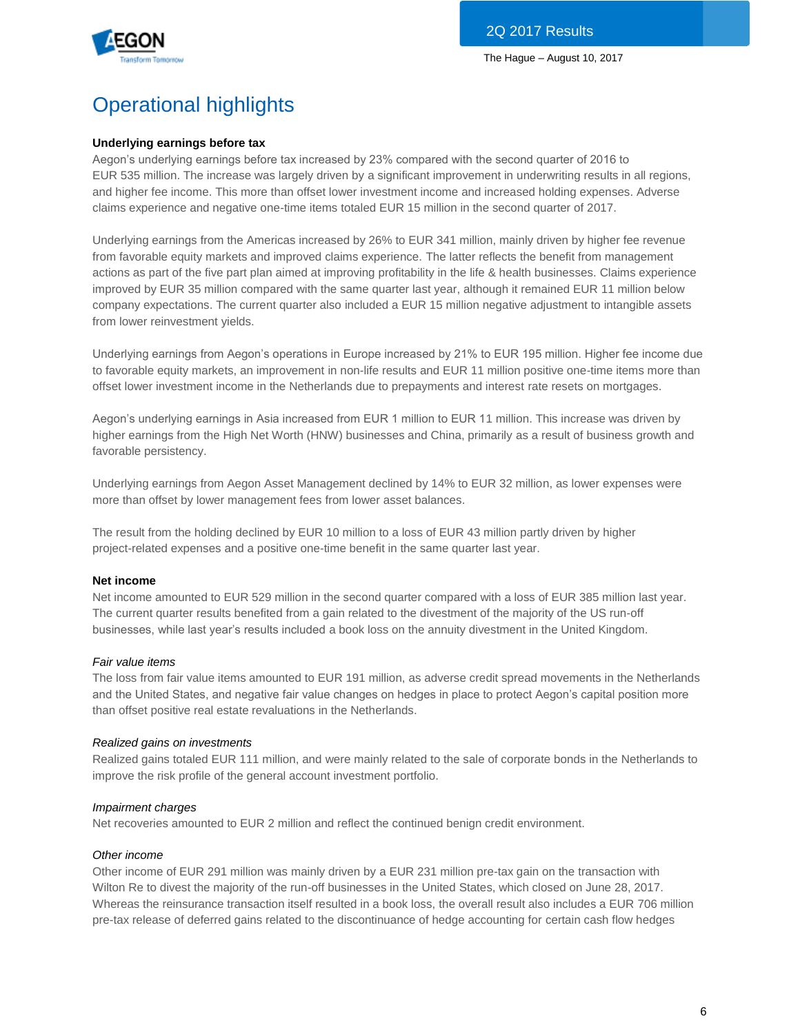

# Operational highlights

## **Underlying earnings before tax**

Aegon's underlying earnings before tax increased by 23% compared with the second quarter of 2016 to EUR 535 million. The increase was largely driven by a significant improvement in underwriting results in all regions, and higher fee income. This more than offset lower investment income and increased holding expenses. Adverse claims experience and negative one-time items totaled EUR 15 million in the second quarter of 2017.

Underlying earnings from the Americas increased by 26% to EUR 341 million, mainly driven by higher fee revenue from favorable equity markets and improved claims experience. The latter reflects the benefit from management actions as part of the five part plan aimed at improving profitability in the life & health businesses. Claims experience improved by EUR 35 million compared with the same quarter last year, although it remained EUR 11 million below company expectations. The current quarter also included a EUR 15 million negative adjustment to intangible assets from lower reinvestment yields.

Underlying earnings from Aegon's operations in Europe increased by 21% to EUR 195 million. Higher fee income due to favorable equity markets, an improvement in non-life results and EUR 11 million positive one-time items more than offset lower investment income in the Netherlands due to prepayments and interest rate resets on mortgages.

Aegon's underlying earnings in Asia increased from EUR 1 million to EUR 11 million. This increase was driven by higher earnings from the High Net Worth (HNW) businesses and China, primarily as a result of business growth and favorable persistency.

Underlying earnings from Aegon Asset Management declined by 14% to EUR 32 million, as lower expenses were more than offset by lower management fees from lower asset balances.

The result from the holding declined by EUR 10 million to a loss of EUR 43 million partly driven by higher project-related expenses and a positive one-time benefit in the same quarter last year.

### **Net income**

Net income amounted to EUR 529 million in the second quarter compared with a loss of EUR 385 million last year. The current quarter results benefited from a gain related to the divestment of the majority of the US run-off businesses, while last year's results included a book loss on the annuity divestment in the United Kingdom.

### *Fair value items*

The loss from fair value items amounted to EUR 191 million, as adverse credit spread movements in the Netherlands and the United States, and negative fair value changes on hedges in place to protect Aegon's capital position more than offset positive real estate revaluations in the Netherlands.

### *Realized gains on investments*

Realized gains totaled EUR 111 million, and were mainly related to the sale of corporate bonds in the Netherlands to improve the risk profile of the general account investment portfolio.

### *Impairment charges*

Net recoveries amounted to EUR 2 million and reflect the continued benign credit environment.

#### *Other income*

Other income of EUR 291 million was mainly driven by a EUR 231 million pre-tax gain on the transaction with Wilton Re to divest the majority of the run-off businesses in the United States, which closed on June 28, 2017. Whereas the reinsurance transaction itself resulted in a book loss, the overall result also includes a EUR 706 million pre-tax release of deferred gains related to the discontinuance of hedge accounting for certain cash flow hedges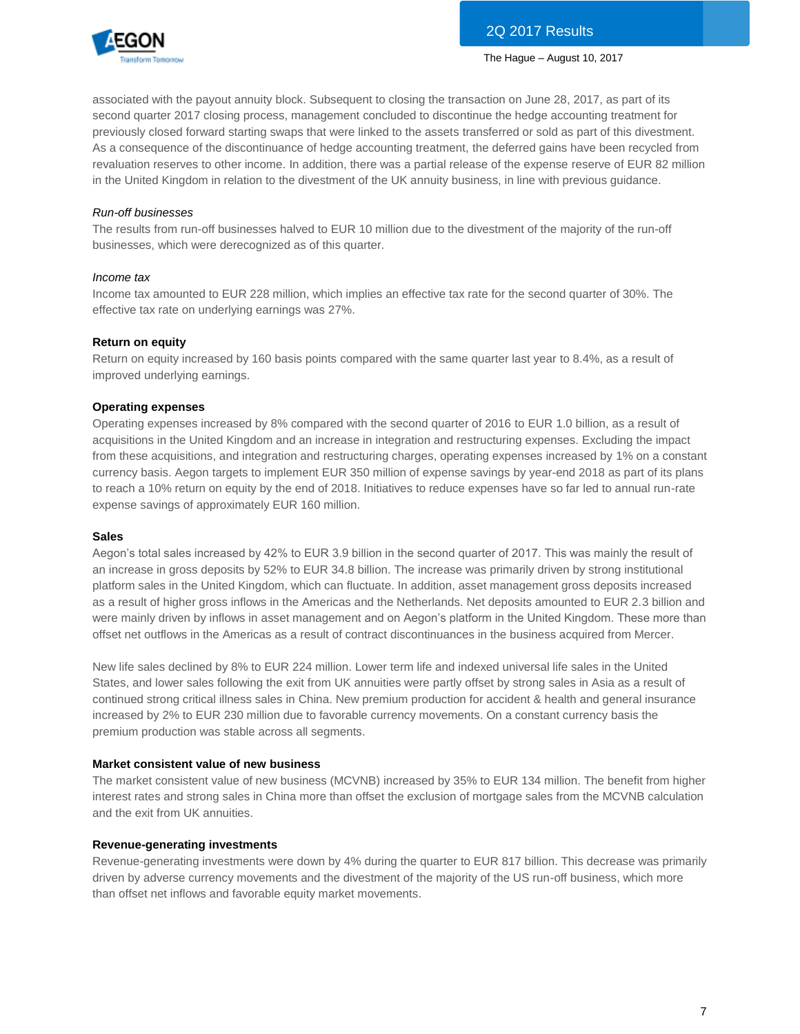

associated with the payout annuity block. Subsequent to closing the transaction on June 28, 2017, as part of its second quarter 2017 closing process, management concluded to discontinue the hedge accounting treatment for previously closed forward starting swaps that were linked to the assets transferred or sold as part of this divestment. As a consequence of the discontinuance of hedge accounting treatment, the deferred gains have been recycled from revaluation reserves to other income. In addition, there was a partial release of the expense reserve of EUR 82 million in the United Kingdom in relation to the divestment of the UK annuity business, in line with previous guidance.

### *Run-off businesses*

The results from run-off businesses halved to EUR 10 million due to the divestment of the majority of the run-off businesses, which were derecognized as of this quarter.

### *Income tax*

Income tax amounted to EUR 228 million, which implies an effective tax rate for the second quarter of 30%. The effective tax rate on underlying earnings was 27%.

### **Return on equity**

Return on equity increased by 160 basis points compared with the same quarter last year to 8.4%, as a result of improved underlying earnings.

### **Operating expenses**

Operating expenses increased by 8% compared with the second quarter of 2016 to EUR 1.0 billion, as a result of acquisitions in the United Kingdom and an increase in integration and restructuring expenses. Excluding the impact from these acquisitions, and integration and restructuring charges, operating expenses increased by 1% on a constant currency basis. Aegon targets to implement EUR 350 million of expense savings by year-end 2018 as part of its plans to reach a 10% return on equity by the end of 2018. Initiatives to reduce expenses have so far led to annual run-rate expense savings of approximately EUR 160 million.

#### **Sales**

Aegon's total sales increased by 42% to EUR 3.9 billion in the second quarter of 2017. This was mainly the result of an increase in gross deposits by 52% to EUR 34.8 billion. The increase was primarily driven by strong institutional platform sales in the United Kingdom, which can fluctuate. In addition, asset management gross deposits increased as a result of higher gross inflows in the Americas and the Netherlands. Net deposits amounted to EUR 2.3 billion and were mainly driven by inflows in asset management and on Aegon's platform in the United Kingdom. These more than offset net outflows in the Americas as a result of contract discontinuances in the business acquired from Mercer.

New life sales declined by 8% to EUR 224 million. Lower term life and indexed universal life sales in the United States, and lower sales following the exit from UK annuities were partly offset by strong sales in Asia as a result of continued strong critical illness sales in China. New premium production for accident & health and general insurance increased by 2% to EUR 230 million due to favorable currency movements. On a constant currency basis the premium production was stable across all segments.

### **Market consistent value of new business**

The market consistent value of new business (MCVNB) increased by 35% to EUR 134 million. The benefit from higher interest rates and strong sales in China more than offset the exclusion of mortgage sales from the MCVNB calculation and the exit from UK annuities.

#### **Revenue-generating investments**

Revenue-generating investments were down by 4% during the quarter to EUR 817 billion. This decrease was primarily driven by adverse currency movements and the divestment of the majority of the US run-off business, which more than offset net inflows and favorable equity market movements.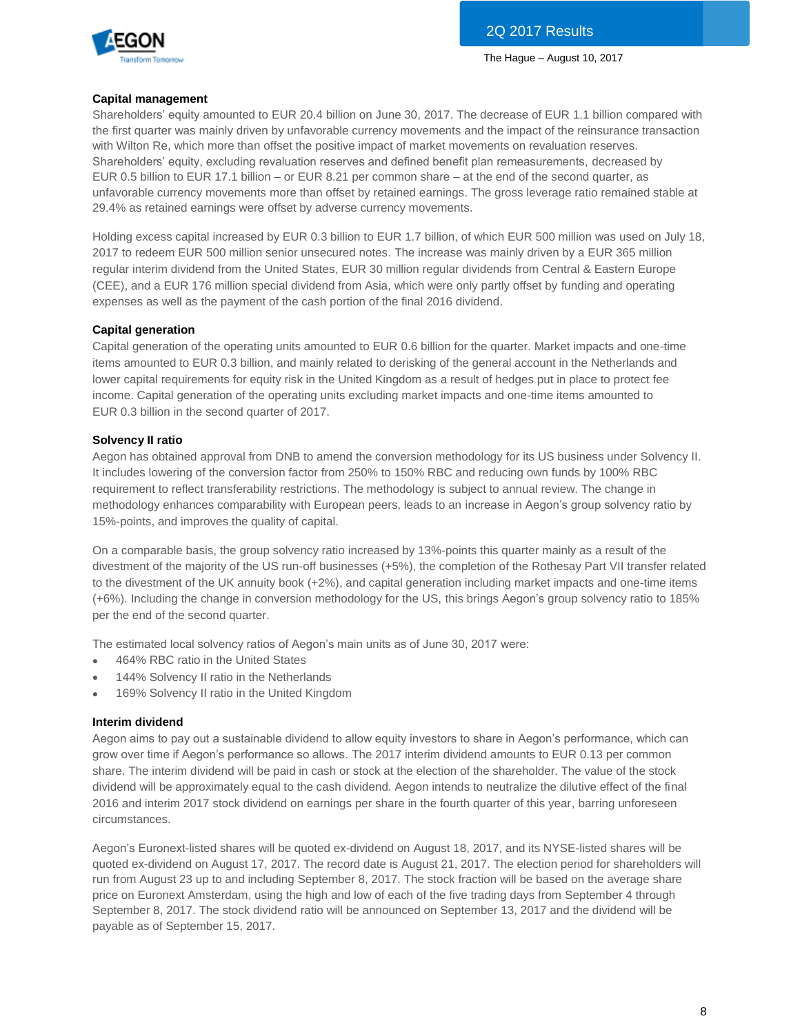

## **Capital management**

Shareholders' equity amounted to EUR 20.4 billion on June 30, 2017. The decrease of EUR 1.1 billion compared with the first quarter was mainly driven by unfavorable currency movements and the impact of the reinsurance transaction with Wilton Re, which more than offset the positive impact of market movements on revaluation reserves. Shareholders' equity, excluding revaluation reserves and defined benefit plan remeasurements, decreased by EUR 0.5 billion to EUR 17.1 billion – or EUR 8.21 per common share – at the end of the second quarter, as unfavorable currency movements more than offset by retained earnings. The gross leverage ratio remained stable at 29.4% as retained earnings were offset by adverse currency movements.

Holding excess capital increased by EUR 0.3 billion to EUR 1.7 billion, of which EUR 500 million was used on July 18, 2017 to redeem EUR 500 million senior unsecured notes. The increase was mainly driven by a EUR 365 million regular interim dividend from the United States, EUR 30 million regular dividends from Central & Eastern Europe (CEE), and a EUR 176 million special dividend from Asia, which were only partly offset by funding and operating expenses as well as the payment of the cash portion of the final 2016 dividend.

## **Capital generation**

Capital generation of the operating units amounted to EUR 0.6 billion for the quarter. Market impacts and one-time items amounted to EUR 0.3 billion, and mainly related to derisking of the general account in the Netherlands and lower capital requirements for equity risk in the United Kingdom as a result of hedges put in place to protect fee income. Capital generation of the operating units excluding market impacts and one-time items amounted to EUR 0.3 billion in the second quarter of 2017.

## **Solvency II ratio**

Aegon has obtained approval from DNB to amend the conversion methodology for its US business under Solvency II. It includes lowering of the conversion factor from 250% to 150% RBC and reducing own funds by 100% RBC requirement to reflect transferability restrictions. The methodology is subject to annual review. The change in methodology enhances comparability with European peers, leads to an increase in Aegon's group solvency ratio by 15%-points, and improves the quality of capital.

On a comparable basis, the group solvency ratio increased by 13%-points this quarter mainly as a result of the divestment of the majority of the US run-off businesses (+5%), the completion of the Rothesay Part VII transfer related to the divestment of the UK annuity book (+2%), and capital generation including market impacts and one-time items (+6%). Including the change in conversion methodology for the US, this brings Aegon's group solvency ratio to 185% per the end of the second quarter.

The estimated local solvency ratios of Aegon's main units as of June 30, 2017 were:

- 464% RBC ratio in the United States
- 144% Solvency II ratio in the Netherlands
- 169% Solvency II ratio in the United Kingdom

## **Interim dividend**

Aegon aims to pay out a sustainable dividend to allow equity investors to share in Aegon's performance, which can grow over time if Aegon's performance so allows. The 2017 interim dividend amounts to EUR 0.13 per common share. The interim dividend will be paid in cash or stock at the election of the shareholder. The value of the stock dividend will be approximately equal to the cash dividend. Aegon intends to neutralize the dilutive effect of the final 2016 and interim 2017 stock dividend on earnings per share in the fourth quarter of this year, barring unforeseen circumstances.

Aegon's Euronext-listed shares will be quoted ex-dividend on August 18, 2017, and its NYSE-listed shares will be quoted ex-dividend on August 17, 2017. The record date is August 21, 2017. The election period for shareholders will run from August 23 up to and including September 8, 2017. The stock fraction will be based on the average share price on Euronext Amsterdam, using the high and low of each of the five trading days from September 4 through September 8, 2017. The stock dividend ratio will be announced on September 13, 2017 and the dividend will be payable as of September 15, 2017.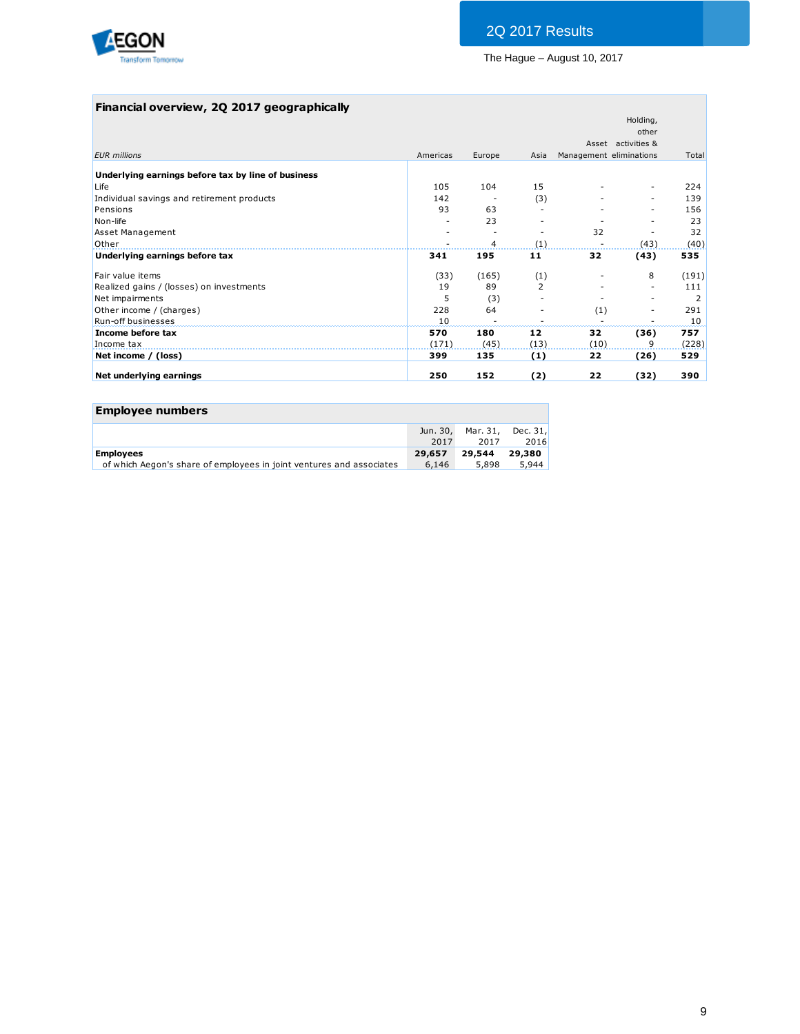

## **Financial overview, 2Q 2017 geographically**

|                                                    |          |                |      |                         | Holding,           |       |
|----------------------------------------------------|----------|----------------|------|-------------------------|--------------------|-------|
|                                                    |          |                |      |                         | other              |       |
|                                                    |          |                |      |                         | Asset activities & |       |
| <b>EUR</b> millions                                | Americas | Europe         | Asia | Management eliminations |                    | Total |
| Underlying earnings before tax by line of business |          |                |      |                         |                    |       |
| Life                                               | 105      | 104            | 15   |                         | ٠                  | 224   |
| Individual savings and retirement products         | 142      |                | (3)  |                         | ۰                  | 139   |
| Pensions                                           | 93       | 63             |      |                         |                    | 156   |
| Non-life                                           |          | 23             |      |                         |                    | 23    |
| Asset Management                                   |          |                |      | 32                      |                    | 32    |
| Other                                              |          | $\overline{4}$ | (1)  |                         | (43)               | (40)  |
| Underlying earnings before tax                     | 341      | 195            | 11   | 32                      | (43)               | 535   |
| Fair value items                                   | (33)     | (165)          | (1)  |                         | 8                  | (191) |
| Realized gains / (losses) on investments           | 19       | 89             | 2    |                         | ۰                  | 111   |
| Net impairments                                    | 5        | (3)            |      |                         |                    | 2     |
| Other income / (charges)                           | 228      | 64             |      | (1)                     |                    | 291   |
| <b>Run-off businesses</b>                          | 10       |                |      |                         |                    | 10    |
| Income before tax                                  | 570      | 180            | 12   | 32                      | (36)               | 757   |
| Income tax                                         | (171)    | (45)           | (13) | (10)                    | 9                  | (228) |
| Net income / (loss)                                | 399      | 135            | (1)  | 22                      | (26)               | 529   |
| Net underlying earnings                            | 250      | 152            | (2)  | 22                      | (32)               | 390   |
|                                                    |          |                |      |                         |                    |       |

| <b>Employee numbers</b>                                              |          |        |                   |
|----------------------------------------------------------------------|----------|--------|-------------------|
|                                                                      | Jun. 30, |        | Mar. 31, Dec. 31, |
|                                                                      | 2017     | 2017   | 2016              |
| <b>Employees</b>                                                     | 29,657   | 29.544 | 29,380            |
| of which Aegon's share of employees in joint ventures and associates | 6,146    | 5,898  | 5.944             |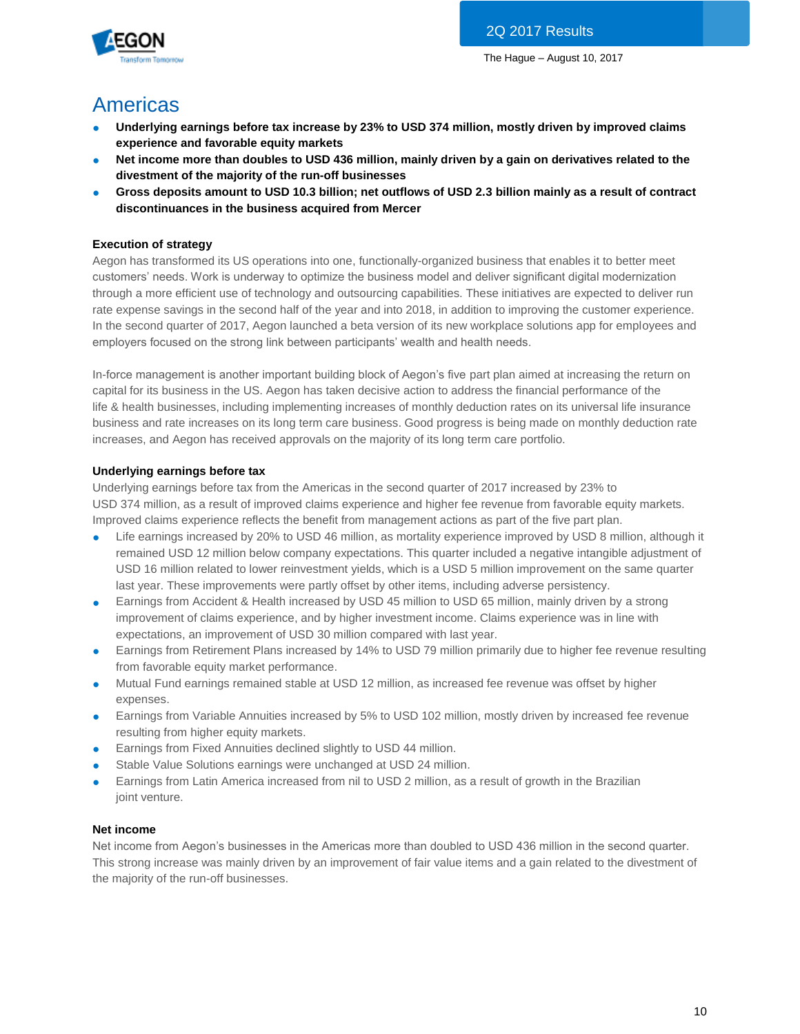

# Americas

- **Underlying earnings before tax increase by 23% to USD 374 million, mostly driven by improved claims experience and favorable equity markets**
- **Net income more than doubles to USD 436 million, mainly driven by a gain on derivatives related to the divestment of the majority of the run-off businesses**
- **Gross deposits amount to USD 10.3 billion; net outflows of USD 2.3 billion mainly as a result of contract discontinuances in the business acquired from Mercer**

## **Execution of strategy**

Aegon has transformed its US operations into one, functionally-organized business that enables it to better meet customers' needs. Work is underway to optimize the business model and deliver significant digital modernization through a more efficient use of technology and outsourcing capabilities. These initiatives are expected to deliver run rate expense savings in the second half of the year and into 2018, in addition to improving the customer experience. In the second quarter of 2017, Aegon launched a beta version of its new workplace solutions app for employees and employers focused on the strong link between participants' wealth and health needs.

In-force management is another important building block of Aegon's five part plan aimed at increasing the return on capital for its business in the US. Aegon has taken decisive action to address the financial performance of the life & health businesses, including implementing increases of monthly deduction rates on its universal life insurance business and rate increases on its long term care business. Good progress is being made on monthly deduction rate increases, and Aegon has received approvals on the majority of its long term care portfolio.

## **Underlying earnings before tax**

Underlying earnings before tax from the Americas in the second quarter of 2017 increased by 23% to USD 374 million, as a result of improved claims experience and higher fee revenue from favorable equity markets. Improved claims experience reflects the benefit from management actions as part of the five part plan.

- Life earnings increased by 20% to USD 46 million, as mortality experience improved by USD 8 million, although it remained USD 12 million below company expectations. This quarter included a negative intangible adjustment of USD 16 million related to lower reinvestment yields, which is a USD 5 million improvement on the same quarter last year. These improvements were partly offset by other items, including adverse persistency.
- Earnings from Accident & Health increased by USD 45 million to USD 65 million, mainly driven by a strong improvement of claims experience, and by higher investment income. Claims experience was in line with expectations, an improvement of USD 30 million compared with last year.
- Earnings from Retirement Plans increased by 14% to USD 79 million primarily due to higher fee revenue resulting from favorable equity market performance.
- Mutual Fund earnings remained stable at USD 12 million, as increased fee revenue was offset by higher expenses.
- Earnings from Variable Annuities increased by 5% to USD 102 million, mostly driven by increased fee revenue resulting from higher equity markets.
- **•** Earnings from Fixed Annuities declined slightly to USD 44 million.
- Stable Value Solutions earnings were unchanged at USD 24 million.
- Earnings from Latin America increased from nil to USD 2 million, as a result of growth in the Brazilian joint venture.

## **Net income**

Net income from Aegon's businesses in the Americas more than doubled to USD 436 million in the second quarter. This strong increase was mainly driven by an improvement of fair value items and a gain related to the divestment of the majority of the run-off businesses.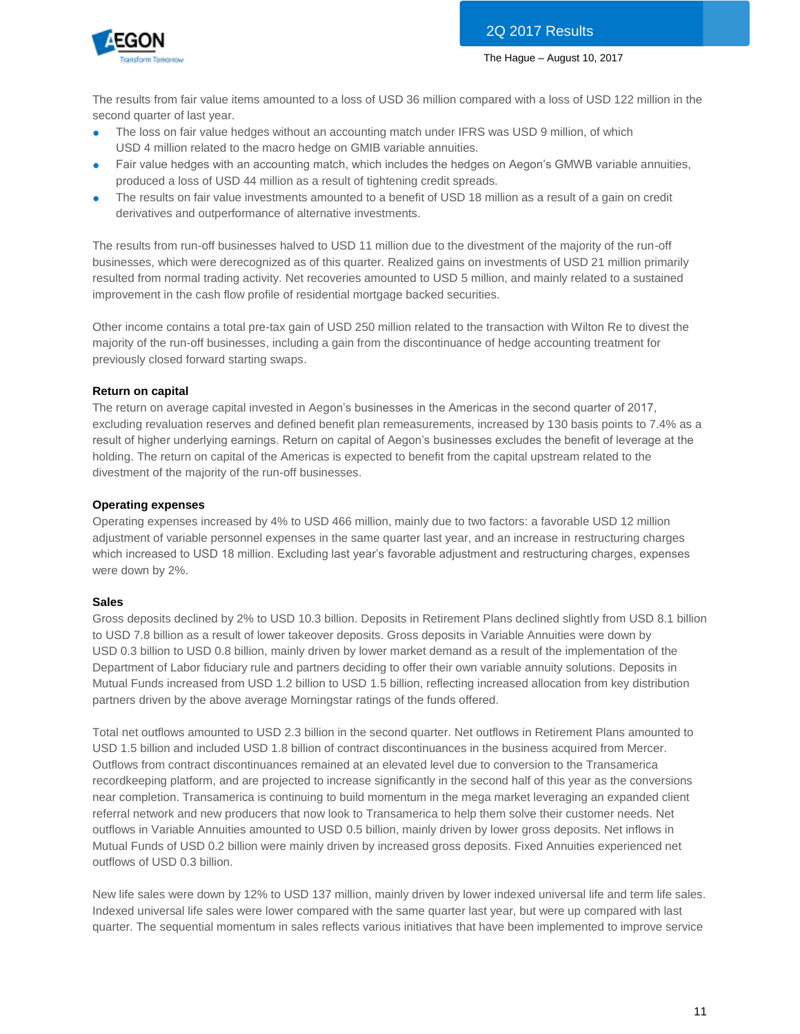

The results from fair value items amounted to a loss of USD 36 million compared with a loss of USD 122 million in the second quarter of last year.

- The loss on fair value hedges without an accounting match under IFRS was USD 9 million, of which USD 4 million related to the macro hedge on GMIB variable annuities.
- Fair value hedges with an accounting match, which includes the hedges on Aegon's GMWB variable annuities, produced a loss of USD 44 million as a result of tightening credit spreads.
- The results on fair value investments amounted to a benefit of USD 18 million as a result of a gain on credit derivatives and outperformance of alternative investments.

The results from run-off businesses halved to USD 11 million due to the divestment of the majority of the run-off businesses, which were derecognized as of this quarter. Realized gains on investments of USD 21 million primarily resulted from normal trading activity. Net recoveries amounted to USD 5 million, and mainly related to a sustained improvement in the cash flow profile of residential mortgage backed securities.

Other income contains a total pre-tax gain of USD 250 million related to the transaction with Wilton Re to divest the majority of the run-off businesses, including a gain from the discontinuance of hedge accounting treatment for previously closed forward starting swaps.

## **Return on capital**

The return on average capital invested in Aegon's businesses in the Americas in the second quarter of 2017, excluding revaluation reserves and defined benefit plan remeasurements, increased by 130 basis points to 7.4% as a result of higher underlying earnings. Return on capital of Aegon's businesses excludes the benefit of leverage at the holding. The return on capital of the Americas is expected to benefit from the capital upstream related to the divestment of the majority of the run-off businesses.

## **Operating expenses**

Operating expenses increased by 4% to USD 466 million, mainly due to two factors: a favorable USD 12 million adjustment of variable personnel expenses in the same quarter last year, and an increase in restructuring charges which increased to USD 18 million. Excluding last year's favorable adjustment and restructuring charges, expenses were down by 2%.

## **Sales**

Gross deposits declined by 2% to USD 10.3 billion. Deposits in Retirement Plans declined slightly from USD 8.1 billion to USD 7.8 billion as a result of lower takeover deposits. Gross deposits in Variable Annuities were down by USD 0.3 billion to USD 0.8 billion, mainly driven by lower market demand as a result of the implementation of the Department of Labor fiduciary rule and partners deciding to offer their own variable annuity solutions. Deposits in Mutual Funds increased from USD 1.2 billion to USD 1.5 billion, reflecting increased allocation from key distribution partners driven by the above average Morningstar ratings of the funds offered.

Total net outflows amounted to USD 2.3 billion in the second quarter. Net outflows in Retirement Plans amounted to USD 1.5 billion and included USD 1.8 billion of contract discontinuances in the business acquired from Mercer. Outflows from contract discontinuances remained at an elevated level due to conversion to the Transamerica recordkeeping platform, and are projected to increase significantly in the second half of this year as the conversions near completion. Transamerica is continuing to build momentum in the mega market leveraging an expanded client referral network and new producers that now look to Transamerica to help them solve their customer needs. Net outflows in Variable Annuities amounted to USD 0.5 billion, mainly driven by lower gross deposits. Net inflows in Mutual Funds of USD 0.2 billion were mainly driven by increased gross deposits. Fixed Annuities experienced net outflows of USD 0.3 billion.

New life sales were down by 12% to USD 137 million, mainly driven by lower indexed universal life and term life sales. Indexed universal life sales were lower compared with the same quarter last year, but were up compared with last quarter. The sequential momentum in sales reflects various initiatives that have been implemented to improve service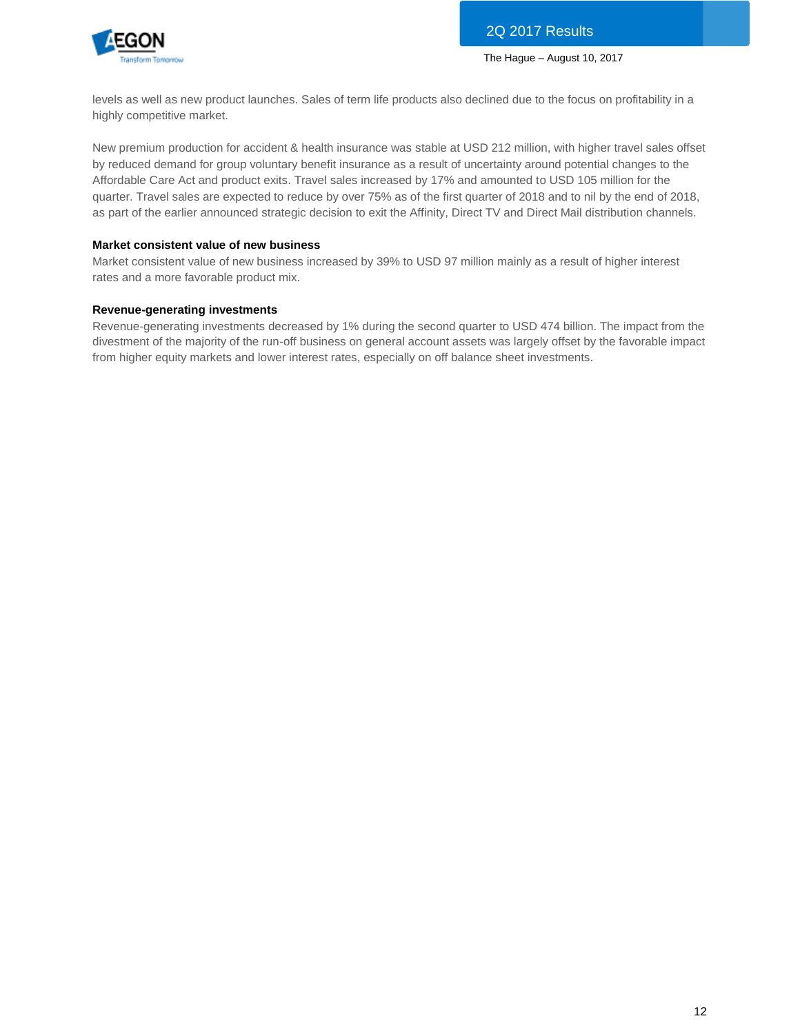

levels as well as new product launches. Sales of term life products also declined due to the focus on profitability in a highly competitive market.

New premium production for accident & health insurance was stable at USD 212 million, with higher travel sales offset by reduced demand for group voluntary benefit insurance as a result of uncertainty around potential changes to the Affordable Care Act and product exits. Travel sales increased by 17% and amounted to USD 105 million for the quarter. Travel sales are expected to reduce by over 75% as of the first quarter of 2018 and to nil by the end of 2018, as part of the earlier announced strategic decision to exit the Affinity, Direct TV and Direct Mail distribution channels.

## **Market consistent value of new business**

Market consistent value of new business increased by 39% to USD 97 million mainly as a result of higher interest rates and a more favorable product mix.

## **Revenue-generating investments**

Revenue-generating investments decreased by 1% during the second quarter to USD 474 billion. The impact from the divestment of the majority of the run-off business on general account assets was largely offset by the favorable impact from higher equity markets and lower interest rates, especially on off balance sheet investments.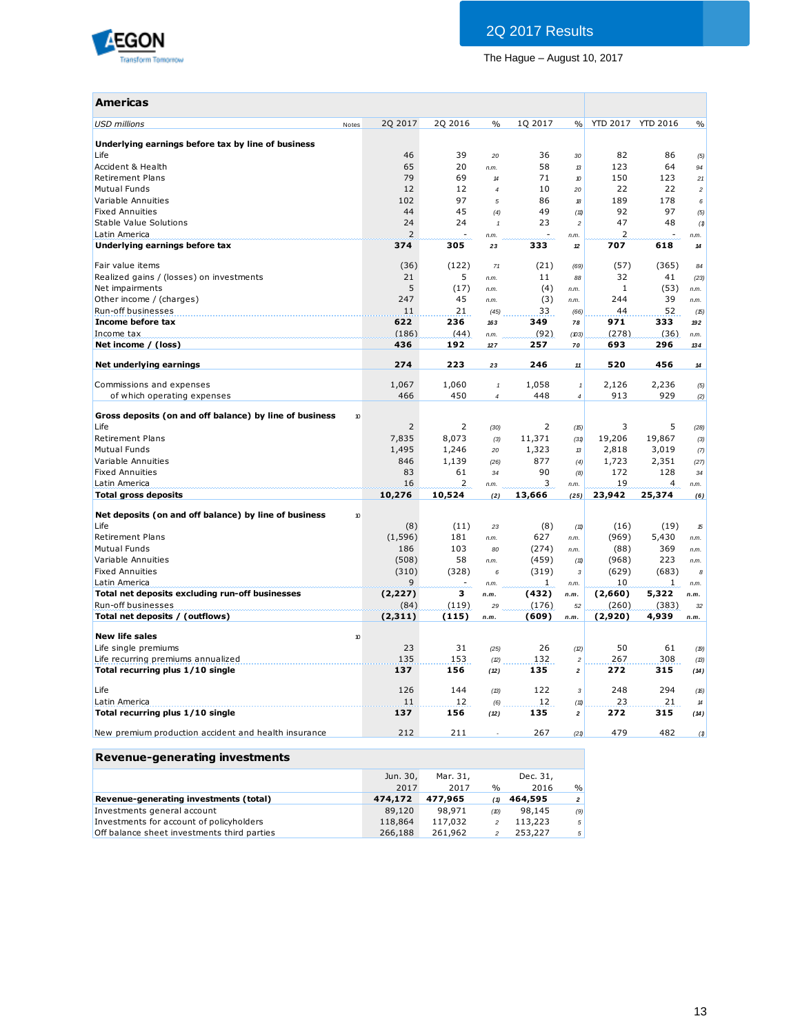

| Americas                                                |       |                |         |                     |         |                          |                 |                 |                            |
|---------------------------------------------------------|-------|----------------|---------|---------------------|---------|--------------------------|-----------------|-----------------|----------------------------|
| <b>USD millions</b>                                     | Notes | 2Q 2017        | 2Q 2016 | $\frac{0}{0}$       | 1Q 2017 | $\%$                     | <b>YTD 2017</b> | <b>YTD 2016</b> | $\%$                       |
| Underlying earnings before tax by line of business      |       |                |         |                     |         |                          |                 |                 |                            |
| Life                                                    |       | 46             | 39      | 20                  | 36      | 30                       | 82              | 86              | (5)                        |
| Accident & Health                                       |       | 65             | 20      | n.m.                | 58      | 13                       | 123             | 64              | 94                         |
| <b>Retirement Plans</b>                                 |       | 79             | 69      | 14                  | 71      | $\pmb{\mathcal{D}}$      | 150             | 123             | 21                         |
| <b>Mutual Funds</b>                                     |       | 12             | 12      | $\overline{4}$      | 10      | 20                       | 22              | 22              | $\overline{c}$             |
| Variable Annuities                                      |       | 102            | 97      | $\sqrt{5}$          | 86      | 18                       | 189             | 178             | 6                          |
| <b>Fixed Annuities</b>                                  |       | 44             | 45      |                     | 49      |                          | 92              | 97              |                            |
|                                                         |       | 24             | 24      | (4)                 | 23      | (11)                     | 47              | 48              | (5)                        |
| Stable Value Solutions                                  |       |                | ÷.      | $\mathbf{1}$        | ÷.      | $\overline{\phantom{a}}$ |                 | ÷,              | (1)                        |
| Latin America                                           |       | $\overline{2}$ |         | n.m.                |         | n.m.                     | $\overline{2}$  |                 | n.m.                       |
| Underlying earnings before tax                          |       | 374            | 305     | 23                  | 333     | 12                       | 707             | 618             | 14                         |
| Fair value items                                        |       | (36)           | (122)   | 71                  | (21)    | (69)                     | (57)            | (365)           | 84                         |
| Realized gains / (losses) on investments                |       | 21             | 5       | n.m.                | 11      | 88                       | 32              | 41              | (23)                       |
| Net impairments                                         |       | 5              | (17)    | n.m.                | (4)     | n.m.                     | 1               | (53)            | n.m.                       |
| Other income / (charges)                                |       | 247            | 45      | n.m.                | (3)     | n.m.                     | 244             | 39              | n.m.                       |
| Run-off businesses                                      |       | 11             | 21      | (45)                | 33      | (66)                     | 44              | 52              | (15)                       |
| Income before tax                                       |       | 622            | 236     | 163                 | 349     | 78                       | 971             | 333             | 192                        |
| Income tax                                              |       | (186)          | (44)    | n.m.                | (92)    | (103)                    | (278)           | (36)            | n.m.                       |
| Net income / (loss)                                     |       | 436            | 192     | 127                 | 257     | 70                       | 693             | 296             | 134                        |
|                                                         |       |                |         |                     |         |                          |                 |                 |                            |
| Net underlying earnings                                 |       | 274            | 223     | 23                  | 246     | 11                       | 520             | 456             | 14                         |
| Commissions and expenses                                |       | 1,067          | 1,060   | $\pmb{\mathcal{I}}$ | 1,058   | $\mathbf{1}$             | 2,126           | 2,236           | (5)                        |
| of which operating expenses                             |       | 466            | 450     | $\overline{4}$      | 448     | $\overline{4}$           | 913             | 929             | (2)                        |
|                                                         |       |                |         |                     |         |                          |                 |                 |                            |
| Gross deposits (on and off balance) by line of business | 10    |                |         |                     |         |                          |                 |                 |                            |
| Life                                                    |       | $\overline{2}$ | 2       | (30)                | 2       | (15)                     | 3               | 5               | (28)                       |
| <b>Retirement Plans</b>                                 |       | 7,835          | 8,073   | (3)                 | 11,371  | (31)                     | 19,206          | 19,867          | (3)                        |
| <b>Mutual Funds</b>                                     |       | 1,495          | 1,246   | 20                  | 1,323   | 13                       | 2,818           | 3,019           | (7)                        |
| Variable Annuities                                      |       | 846            | 1,139   | (26)                | 877     | (4)                      | 1,723           | 2,351           | (27)                       |
| <b>Fixed Annuities</b>                                  |       | 83             | 61      | 34                  | 90      | (8)                      | 172             | 128             | 34                         |
| Latin America                                           |       | 16             | 2       | n.m.                | 3       | n.m.                     | 19              | 4               | n.m.                       |
| <b>Total gross deposits</b>                             |       | 10,276         | 10,524  | (2)                 | 13,666  | (25)                     | 23,942          | 25,374          | (6)                        |
|                                                         |       |                |         |                     |         |                          |                 |                 |                            |
| Net deposits (on and off balance) by line of business   | 10    |                |         |                     |         |                          |                 |                 |                            |
| Life                                                    |       | (8)            | (11)    | 23                  | (8)     | (11)                     | (16)            | (19)            | 15                         |
| <b>Retirement Plans</b>                                 |       | (1, 596)       | 181     | n.m.                | 627     | n.m.                     | (969)           | 5,430           | n.m.                       |
| Mutual Funds                                            |       | 186            | 103     | 80                  | (274)   | n.m.                     | (88)            | 369             | n.m.                       |
| Variable Annuities                                      |       | (508)          | 58      | n.m.                | (459)   | (11)                     | (968)           | 223             | n.m.                       |
| <b>Fixed Annuities</b>                                  |       | (310)          | (328)   | 6                   | (319)   | 3                        | (629)           | (683)           | 8                          |
| Latin America                                           |       | 9              |         | n.m.                | 1       | n.m.                     | 10              | $\mathbf{1}$    | n.m.                       |
| Total net deposits excluding run-off businesses         |       | (2, 227)       | з       | n.m.                | (432)   | n.m.                     | (2,660)         | 5,322           | n.m.                       |
| Run-off businesses                                      |       | (84)           | (119)   | 29                  | (176)   | 52                       | (260)           | (383)           | 32                         |
| Total net deposits / (outflows)                         |       | (2,311)        | (115)   | n.m.                | (609)   | n.m.                     | (2,920)         | 4,939           | n.m.                       |
|                                                         |       |                |         |                     |         |                          |                 |                 |                            |
| <b>New life sales</b>                                   | 10    |                |         |                     |         |                          |                 |                 |                            |
| Life single premiums                                    |       | 23             | 31      | (25)                | 26      | (2)                      | 50              | 61              | (19)                       |
| Life recurring premiums annualized                      |       | 135            | 153     | (2)                 | 132     | $\overline{c}$           | 267             | 308             | (13)                       |
| Total recurring plus 1/10 single                        |       | 137            | 156     | (12)                | 135     | $\overline{2}$           | 272             | 315             | (14)                       |
| Life                                                    |       | 126            | 144     | (13)                | 122     | $\sqrt{3}$               | 248             | 294             | (16)                       |
| Latin America                                           |       | 11             | 12      | (6)                 | 12      | (11)                     | 23              | 21              | $\boldsymbol{\mathcal{H}}$ |
| Total recurring plus 1/10 single                        |       | 137            | 156     | (12)                | 135     | $\boldsymbol{2}$         | 272             | 315             | (14)                       |
| New premium production accident and health insurance    |       | 212            | 211     |                     | 267     | (21)                     | 479             | 482             | (1)                        |

| Revenue-generating investments              |          |          |      |          |                |
|---------------------------------------------|----------|----------|------|----------|----------------|
|                                             | Jun. 30, | Mar. 31, |      | Dec. 31, |                |
|                                             | 2017     | 2017     | $\%$ | 2016     | %              |
| Revenue-generating investments (total)      | 474,172  | 477.965  | (1)  | 464,595  | $\overline{z}$ |
| Investments general account                 | 89,120   | 98,971   | (D)  | 98,145   | (9)            |
| Investments for account of policyholders    | 118,864  | 117,032  |      | 113,223  | 5              |
| Off balance sheet investments third parties | 266,188  | 261,962  |      | 253,227  | 5              |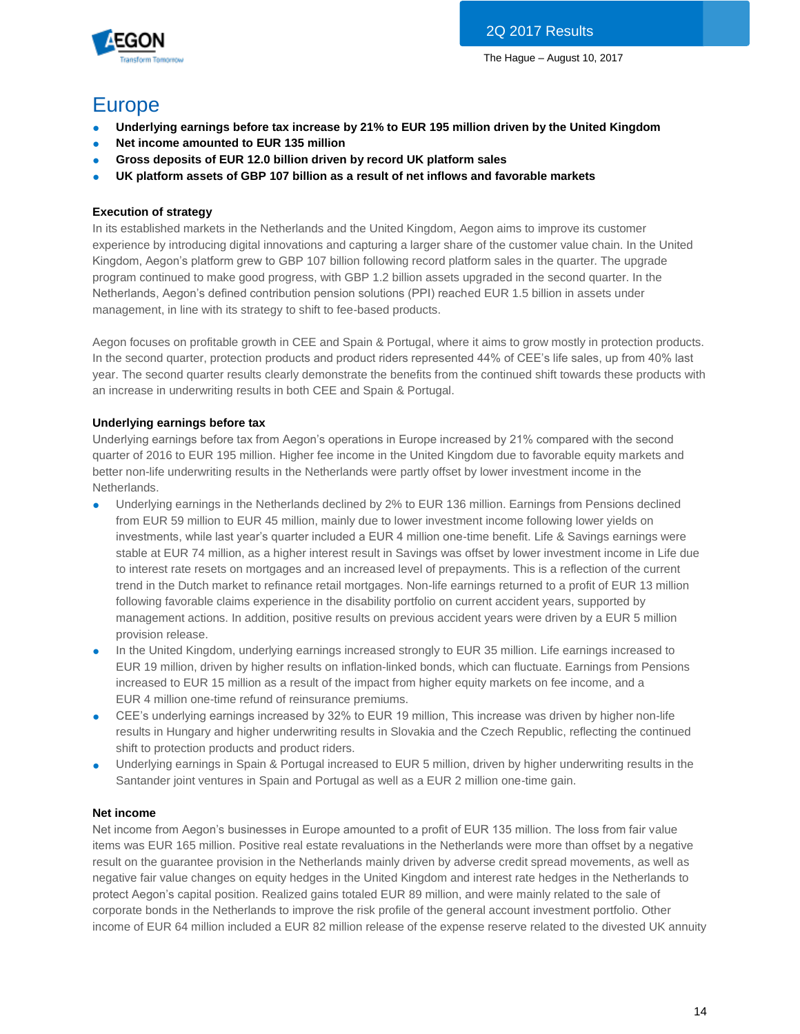

## Europe

- **Underlying earnings before tax increase by 21% to EUR 195 million driven by the United Kingdom**
- **Net income amounted to EUR 135 million**
- **Gross deposits of EUR 12.0 billion driven by record UK platform sales**
- **UK platform assets of GBP 107 billion as a result of net inflows and favorable markets**

## **Execution of strategy**

In its established markets in the Netherlands and the United Kingdom, Aegon aims to improve its customer experience by introducing digital innovations and capturing a larger share of the customer value chain. In the United Kingdom, Aegon's platform grew to GBP 107 billion following record platform sales in the quarter. The upgrade program continued to make good progress, with GBP 1.2 billion assets upgraded in the second quarter. In the Netherlands, Aegon's defined contribution pension solutions (PPI) reached EUR 1.5 billion in assets under management, in line with its strategy to shift to fee-based products.

Aegon focuses on profitable growth in CEE and Spain & Portugal, where it aims to grow mostly in protection products. In the second quarter, protection products and product riders represented 44% of CEE's life sales, up from 40% last year. The second quarter results clearly demonstrate the benefits from the continued shift towards these products with an increase in underwriting results in both CEE and Spain & Portugal.

## **Underlying earnings before tax**

Underlying earnings before tax from Aegon's operations in Europe increased by 21% compared with the second quarter of 2016 to EUR 195 million. Higher fee income in the United Kingdom due to favorable equity markets and better non-life underwriting results in the Netherlands were partly offset by lower investment income in the Netherlands.

- Underlying earnings in the Netherlands declined by 2% to EUR 136 million. Earnings from Pensions declined from EUR 59 million to EUR 45 million, mainly due to lower investment income following lower yields on investments, while last year's quarter included a EUR 4 million one-time benefit. Life & Savings earnings were stable at EUR 74 million, as a higher interest result in Savings was offset by lower investment income in Life due to interest rate resets on mortgages and an increased level of prepayments. This is a reflection of the current trend in the Dutch market to refinance retail mortgages. Non-life earnings returned to a profit of EUR 13 million following favorable claims experience in the disability portfolio on current accident years, supported by management actions. In addition, positive results on previous accident years were driven by a EUR 5 million provision release.
- In the United Kingdom, underlying earnings increased strongly to EUR 35 million. Life earnings increased to EUR 19 million, driven by higher results on inflation-linked bonds, which can fluctuate. Earnings from Pensions increased to EUR 15 million as a result of the impact from higher equity markets on fee income, and a EUR 4 million one-time refund of reinsurance premiums.
- CEE's underlying earnings increased by 32% to EUR 19 million, This increase was driven by higher non-life results in Hungary and higher underwriting results in Slovakia and the Czech Republic, reflecting the continued shift to protection products and product riders.
- Underlying earnings in Spain & Portugal increased to EUR 5 million, driven by higher underwriting results in the Santander joint ventures in Spain and Portugal as well as a EUR 2 million one-time gain.

## **Net income**

Net income from Aegon's businesses in Europe amounted to a profit of EUR 135 million. The loss from fair value items was EUR 165 million. Positive real estate revaluations in the Netherlands were more than offset by a negative result on the guarantee provision in the Netherlands mainly driven by adverse credit spread movements, as well as negative fair value changes on equity hedges in the United Kingdom and interest rate hedges in the Netherlands to protect Aegon's capital position. Realized gains totaled EUR 89 million, and were mainly related to the sale of corporate bonds in the Netherlands to improve the risk profile of the general account investment portfolio. Other income of EUR 64 million included a EUR 82 million release of the expense reserve related to the divested UK annuity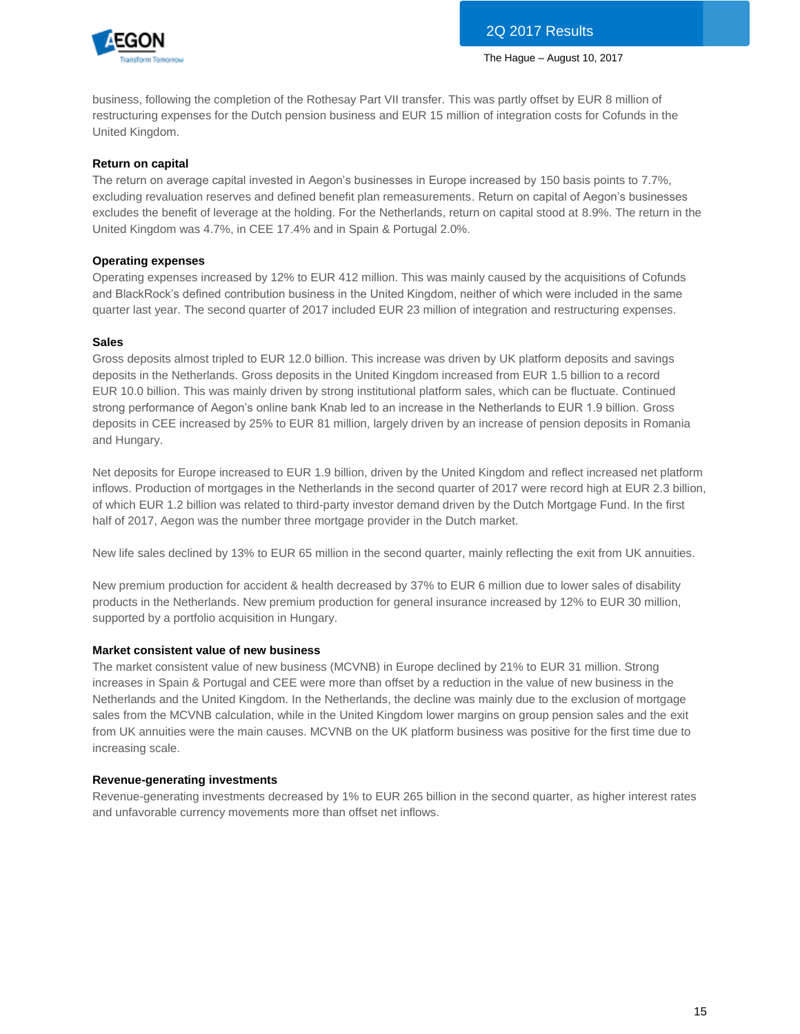

business, following the completion of the Rothesay Part VII transfer. This was partly offset by EUR 8 million of restructuring expenses for the Dutch pension business and EUR 15 million of integration costs for Cofunds in the United Kingdom.

### **Return on capital**

The return on average capital invested in Aegon's businesses in Europe increased by 150 basis points to 7.7%, excluding revaluation reserves and defined benefit plan remeasurements. Return on capital of Aegon's businesses excludes the benefit of leverage at the holding. For the Netherlands, return on capital stood at 8.9%. The return in the United Kingdom was 4.7%, in CEE 17.4% and in Spain & Portugal 2.0%.

## **Operating expenses**

Operating expenses increased by 12% to EUR 412 million. This was mainly caused by the acquisitions of Cofunds and BlackRock's defined contribution business in the United Kingdom, neither of which were included in the same quarter last year. The second quarter of 2017 included EUR 23 million of integration and restructuring expenses.

### **Sales**

Gross deposits almost tripled to EUR 12.0 billion. This increase was driven by UK platform deposits and savings deposits in the Netherlands. Gross deposits in the United Kingdom increased from EUR 1.5 billion to a record EUR 10.0 billion. This was mainly driven by strong institutional platform sales, which can be fluctuate. Continued strong performance of Aegon's online bank Knab led to an increase in the Netherlands to EUR 1.9 billion. Gross deposits in CEE increased by 25% to EUR 81 million, largely driven by an increase of pension deposits in Romania and Hungary.

Net deposits for Europe increased to EUR 1.9 billion, driven by the United Kingdom and reflect increased net platform inflows. Production of mortgages in the Netherlands in the second quarter of 2017 were record high at EUR 2.3 billion, of which EUR 1.2 billion was related to third-party investor demand driven by the Dutch Mortgage Fund. In the first half of 2017, Aegon was the number three mortgage provider in the Dutch market.

New life sales declined by 13% to EUR 65 million in the second quarter, mainly reflecting the exit from UK annuities.

New premium production for accident & health decreased by 37% to EUR 6 million due to lower sales of disability products in the Netherlands. New premium production for general insurance increased by 12% to EUR 30 million, supported by a portfolio acquisition in Hungary.

## **Market consistent value of new business**

The market consistent value of new business (MCVNB) in Europe declined by 21% to EUR 31 million. Strong increases in Spain & Portugal and CEE were more than offset by a reduction in the value of new business in the Netherlands and the United Kingdom. In the Netherlands, the decline was mainly due to the exclusion of mortgage sales from the MCVNB calculation, while in the United Kingdom lower margins on group pension sales and the exit from UK annuities were the main causes. MCVNB on the UK platform business was positive for the first time due to increasing scale.

### **Revenue-generating investments**

Revenue-generating investments decreased by 1% to EUR 265 billion in the second quarter, as higher interest rates and unfavorable currency movements more than offset net inflows.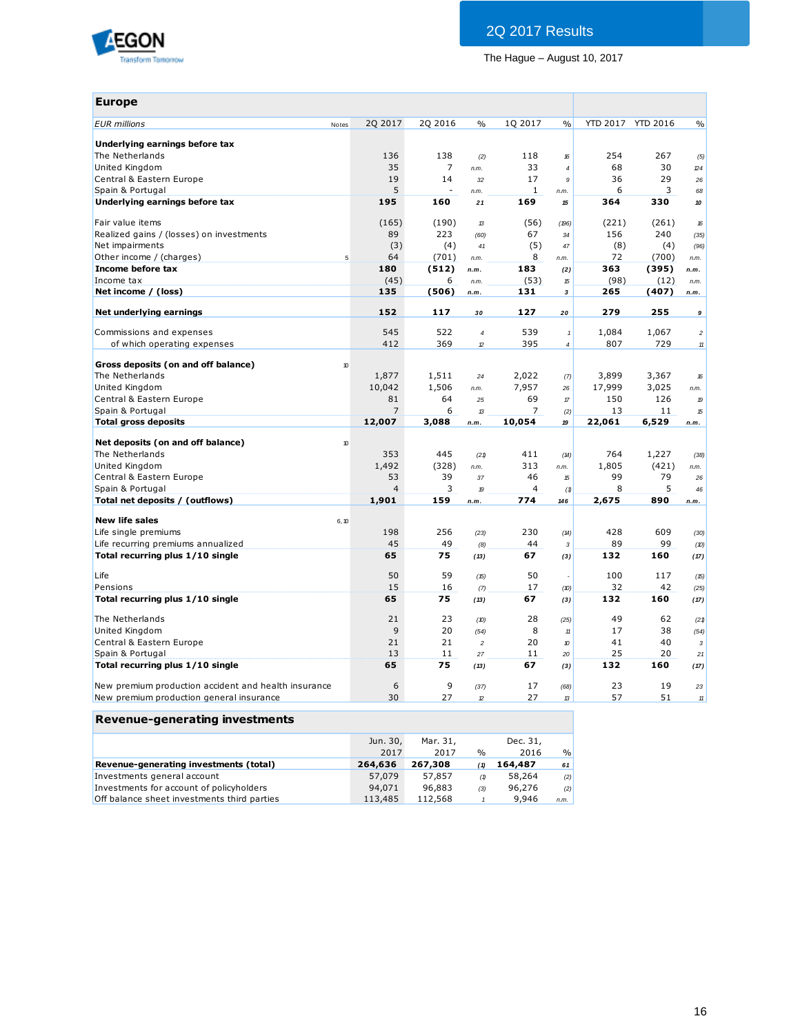

| 2Q 2016<br>1Q 2017<br><b>YTD 2017</b><br>2Q 2017<br>$\frac{0}{0}$<br>$\frac{0}{0}$<br><b>EUR</b> millions<br>Notes<br>Underlying earnings before tax<br>254<br>The Netherlands<br>136<br>138<br>118<br>16<br>(2)<br>35<br>$\overline{7}$<br>33<br>68<br>United Kingdom<br>$\overline{4}$<br>n.m.<br>19<br>17<br>36<br>Central & Eastern Europe<br>14<br>32<br>9<br>Spain & Portugal<br>5<br>1<br>6<br>$\overline{a}$<br>n.m.<br>n.m.<br>Underlying earnings before tax<br>169<br>364<br>195<br>160<br>15<br>21 | <b>YTD 2016</b><br>267<br>30<br>29<br>3<br>330 | $\frac{0}{0}$<br>(5)<br>$\mathbb{Z}4$ |
|----------------------------------------------------------------------------------------------------------------------------------------------------------------------------------------------------------------------------------------------------------------------------------------------------------------------------------------------------------------------------------------------------------------------------------------------------------------------------------------------------------------|------------------------------------------------|---------------------------------------|
|                                                                                                                                                                                                                                                                                                                                                                                                                                                                                                                |                                                |                                       |
|                                                                                                                                                                                                                                                                                                                                                                                                                                                                                                                |                                                |                                       |
|                                                                                                                                                                                                                                                                                                                                                                                                                                                                                                                |                                                |                                       |
|                                                                                                                                                                                                                                                                                                                                                                                                                                                                                                                |                                                |                                       |
|                                                                                                                                                                                                                                                                                                                                                                                                                                                                                                                |                                                | 26                                    |
|                                                                                                                                                                                                                                                                                                                                                                                                                                                                                                                |                                                | 68                                    |
|                                                                                                                                                                                                                                                                                                                                                                                                                                                                                                                |                                                | 10                                    |
| Fair value items<br>(165)<br>(190)<br>(56)<br>(221)<br>$\mathcal{B}$<br>(196)                                                                                                                                                                                                                                                                                                                                                                                                                                  | (261)                                          | 16                                    |
| 89<br>223<br>156<br>Realized gains / (losses) on investments<br>67<br>(60)<br>34                                                                                                                                                                                                                                                                                                                                                                                                                               | 240                                            | (35)                                  |
| (3)<br>Net impairments<br>(4)<br>(5)<br>(8)<br>41<br>47                                                                                                                                                                                                                                                                                                                                                                                                                                                        | (4)                                            | (96)                                  |
| 64<br>Other income / (charges)<br>(701)<br>8<br>72<br>5<br>n.m.<br>n.m.                                                                                                                                                                                                                                                                                                                                                                                                                                        | (700)                                          | n.m.                                  |
| Income before tax<br>180<br>(512)<br>183<br>363<br>n.m.<br>(2)                                                                                                                                                                                                                                                                                                                                                                                                                                                 | (395)<br>n.m.                                  |                                       |
| (45)<br>(53)<br>(98)<br>Income tax<br>6<br>n.m.<br>$\mathfrak{b}$                                                                                                                                                                                                                                                                                                                                                                                                                                              | (12)                                           | n.m.                                  |
| Net income / (loss)<br>135<br>(506)<br>131<br>265<br>$\mathbf 3$<br>n.m.                                                                                                                                                                                                                                                                                                                                                                                                                                       | (407)                                          | n.m.                                  |
| 152<br>127<br>279<br>Net underlying earnings<br>117<br>30<br>20                                                                                                                                                                                                                                                                                                                                                                                                                                                | 255                                            | $\boldsymbol{9}$                      |
| Commissions and expenses<br>545<br>522<br>539<br>1,084<br>$\overline{\mathcal{L}}$<br>$\mathbf{1}$                                                                                                                                                                                                                                                                                                                                                                                                             | 1,067                                          | $\sqrt{2}$                            |
| 395<br>412<br>369<br>807<br>of which operating expenses<br>$\mathcal D$<br>$\overline{\mathcal{L}}$                                                                                                                                                                                                                                                                                                                                                                                                            | 729                                            | $11$                                  |
| Gross deposits (on and off balance)<br>10                                                                                                                                                                                                                                                                                                                                                                                                                                                                      |                                                |                                       |
| The Netherlands<br>1,877<br>1,511<br>3,899<br>2,022<br>24<br>(7)                                                                                                                                                                                                                                                                                                                                                                                                                                               | 3,367                                          | 16                                    |
| United Kingdom<br>10,042<br>1,506<br>7,957<br>17,999<br>n.m.<br>26                                                                                                                                                                                                                                                                                                                                                                                                                                             | 3,025                                          | n.m.                                  |
| 69<br>Central & Eastern Europe<br>81<br>64<br>150<br>25<br>$\mathcal T$                                                                                                                                                                                                                                                                                                                                                                                                                                        | 126                                            | 19                                    |
| Spain & Portugal<br>6<br>7<br>13<br>7<br>13<br>(2)                                                                                                                                                                                                                                                                                                                                                                                                                                                             | 11                                             | 15                                    |
| <b>Total gross deposits</b><br>3,088<br>22,061<br>12,007<br>10,054<br>19<br>n.m.                                                                                                                                                                                                                                                                                                                                                                                                                               | 6,529                                          | n.m.                                  |
| Net deposits (on and off balance)<br>10                                                                                                                                                                                                                                                                                                                                                                                                                                                                        |                                                |                                       |
| The Netherlands<br>353<br>445<br>764<br>411<br>(21)<br>(14)                                                                                                                                                                                                                                                                                                                                                                                                                                                    | 1,227                                          | (38)                                  |
| 1,492<br>313<br>1,805<br>United Kingdom<br>(328)<br>n.m.<br>n.m.                                                                                                                                                                                                                                                                                                                                                                                                                                               | (421)                                          | n.m.                                  |
| Central & Eastern Europe<br>53<br>39<br>46<br>99<br>37<br>15                                                                                                                                                                                                                                                                                                                                                                                                                                                   | 79                                             | 26                                    |
| 3<br>$\overline{4}$<br>Spain & Portugal<br>4<br>8<br>(1)<br>19                                                                                                                                                                                                                                                                                                                                                                                                                                                 | 5                                              | 46                                    |
| Total net deposits / (outflows)<br>1,901<br>159<br>774<br>2,675<br>n.m.<br>146                                                                                                                                                                                                                                                                                                                                                                                                                                 | 890<br>n.m.                                    |                                       |
| <b>New life sales</b><br>6, 10                                                                                                                                                                                                                                                                                                                                                                                                                                                                                 |                                                |                                       |
| 256<br>428<br>Life single premiums<br>198<br>230<br>(23)<br>(14)                                                                                                                                                                                                                                                                                                                                                                                                                                               | 609                                            | (30)                                  |
| 45<br>89<br>Life recurring premiums annualized<br>49<br>44<br>(8)<br>$\mathbf{3}$                                                                                                                                                                                                                                                                                                                                                                                                                              | 99                                             | (10)                                  |
| Total recurring plus 1/10 single<br>65<br>75<br>67<br>132<br>(13)<br>(3)                                                                                                                                                                                                                                                                                                                                                                                                                                       | 160                                            | (17)                                  |
| 50<br>59<br>50<br>100<br>Life<br>(15)                                                                                                                                                                                                                                                                                                                                                                                                                                                                          | 117                                            | (15)                                  |
| 15<br>16<br>32<br>Pensions<br>17<br>(7)<br>(D)                                                                                                                                                                                                                                                                                                                                                                                                                                                                 | 42                                             | (25)                                  |
| Total recurring plus 1/10 single<br>65<br>75<br>67<br>132<br>(13)<br>(3)                                                                                                                                                                                                                                                                                                                                                                                                                                       | 160                                            | (17)                                  |
| 49<br>The Netherlands<br>21<br>23<br>28<br>(D)<br>(25)                                                                                                                                                                                                                                                                                                                                                                                                                                                         | 62                                             | (21)                                  |
| 9<br>20<br>8<br>17<br>United Kingdom<br>(54)<br>11                                                                                                                                                                                                                                                                                                                                                                                                                                                             | 38                                             | (54)                                  |
| 21<br>21<br>20<br>41<br>Central & Eastern Europe<br>$\overline{c}$<br>$\pmb v$                                                                                                                                                                                                                                                                                                                                                                                                                                 | 40                                             | 3                                     |
| Spain & Portugal<br>13<br>11<br>11<br>25<br>27<br>20                                                                                                                                                                                                                                                                                                                                                                                                                                                           | 20                                             | 21                                    |
| Total recurring plus 1/10 single<br>65<br>75<br>132<br>67<br>(13)<br>(3)                                                                                                                                                                                                                                                                                                                                                                                                                                       | 160                                            | (17)                                  |
| 9<br>New premium production accident and health insurance<br>6<br>23<br>17<br>(37)<br>(68)                                                                                                                                                                                                                                                                                                                                                                                                                     | 19                                             | 23                                    |
| 30<br>27<br>27<br>57<br>New premium production general insurance<br>$\mathcal{D}$<br>13                                                                                                                                                                                                                                                                                                                                                                                                                        | 51                                             | $11$                                  |

## **Revenue-generating investments**

| Revenue-generating investments              |          |          |               |          |               |
|---------------------------------------------|----------|----------|---------------|----------|---------------|
|                                             | Jun. 30, | Mar. 31. |               | Dec. 31, |               |
|                                             | 2017     | 2017     | $\frac{0}{0}$ | 2016     | $\frac{0}{0}$ |
| Revenue-generating investments (total)      | 264,636  | 267,308  | (1)           | 164,487  | 61            |
| Investments general account                 | 57,079   | 57,857   | (1)           | 58,264   | (2)           |
| Investments for account of policyholders    | 94,071   | 96,883   | (3)           | 96,276   | (2)           |
| Off balance sheet investments third parties | 113,485  | 112,568  |               | 9.946    | n.m.          |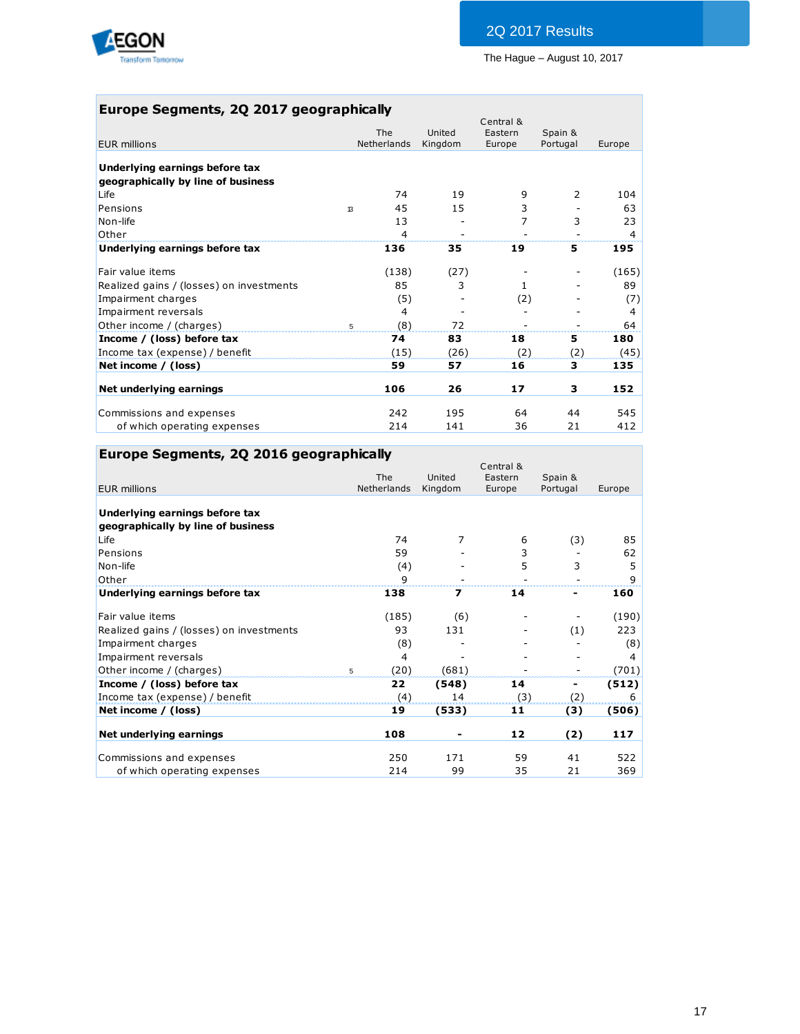

## **Europe Segments, 2Q 2017 geographically**

|                                                                      | <b>The</b>  | United  | Central &<br>Eastern |                     |        |
|----------------------------------------------------------------------|-------------|---------|----------------------|---------------------|--------|
| EUR millions                                                         | Netherlands | Kingdom | Europe               | Spain &<br>Portugal | Europe |
| Underlying earnings before tax<br>geographically by line of business |             |         |                      |                     |        |
| Life                                                                 | 74          | 19      | 9                    | 2                   | 104    |
| Pensions<br>13                                                       | 45          | 15      | 3                    |                     | 63     |
| Non-life                                                             | 13          |         | 7                    | 3                   | 23     |
| Other                                                                | 4           |         |                      |                     | 4      |
| Underlying earnings before tax                                       | 136         | 35      | 19                   | 5                   | 195    |
| Fair value items                                                     | (138)       | (27)    |                      |                     | (165)  |
| Realized gains / (losses) on investments                             | 85          | 3       | $\mathbf{1}$         |                     | 89     |
| Impairment charges                                                   | (5)         |         | (2)                  |                     | (7)    |
| Impairment reversals                                                 | 4           |         |                      |                     | 4      |
| Other income / (charges)                                             | (8)<br>5    | 72      |                      |                     | 64     |
| Income / (loss) before tax                                           | 74          | 83      | 18                   | 5                   | 180    |
| Income tax (expense) / benefit                                       | (15)        | (26)    | (2)                  | (2)                 | (45)   |
| Net income / (loss)                                                  | 59          | 57      | 16                   | 3                   | 135    |
| Net underlying earnings                                              | 106         | 26      | 17                   | 3                   | 152    |
| Commissions and expenses                                             | 242         | 195     | 64                   | 44                  | 545    |
| of which operating expenses                                          | 214         | 141     | 36                   | 21                  | 412    |

## **Europe Segments, 2Q 2016 geographically**

|                                          | <b>The</b>  | United                   | Central &<br>Eastern | Spain &  |        |
|------------------------------------------|-------------|--------------------------|----------------------|----------|--------|
| <b>EUR millions</b>                      | Netherlands | Kingdom                  | Europe               | Portugal | Europe |
| Underlying earnings before tax           |             |                          |                      |          |        |
| geographically by line of business       |             |                          |                      |          |        |
| Life                                     | 74          | 7                        | 6                    | (3)      | 85     |
| Pensions                                 | 59          |                          | 3                    |          | 62     |
| Non-life                                 | (4)         |                          | 5                    | 3        | 5      |
| Other                                    | 9           |                          |                      |          | 9      |
| Underlying earnings before tax           | 138         | $\overline{\phantom{a}}$ | 14                   |          | 160    |
| Fair value items                         | (185)       | (6)                      |                      |          | (190)  |
| Realized gains / (losses) on investments | 93          | 131                      |                      | (1)      | 223    |
| Impairment charges                       | (8)         |                          |                      |          | (8)    |
| Impairment reversals                     | 4           |                          |                      |          | 4      |
| Other income / (charges)                 | (20)<br>5   | (681)                    |                      |          | (701)  |
| Income / (loss) before tax               | 22          | (548)                    | 14                   | -        | (512)  |
| Income tax (expense) / benefit           | (4)         | 14                       | (3)                  | (2)      | 6      |
| Net income / (loss)                      | 19          | (533)                    | 11                   | (3)      | (506)  |
| Net underlying earnings                  | 108         |                          | 12                   | (2)      | 117    |
| Commissions and expenses                 | 250         | 171                      | 59                   | 41       | 522    |
| of which operating expenses              | 214         | 99                       | 35                   | 21       | 369    |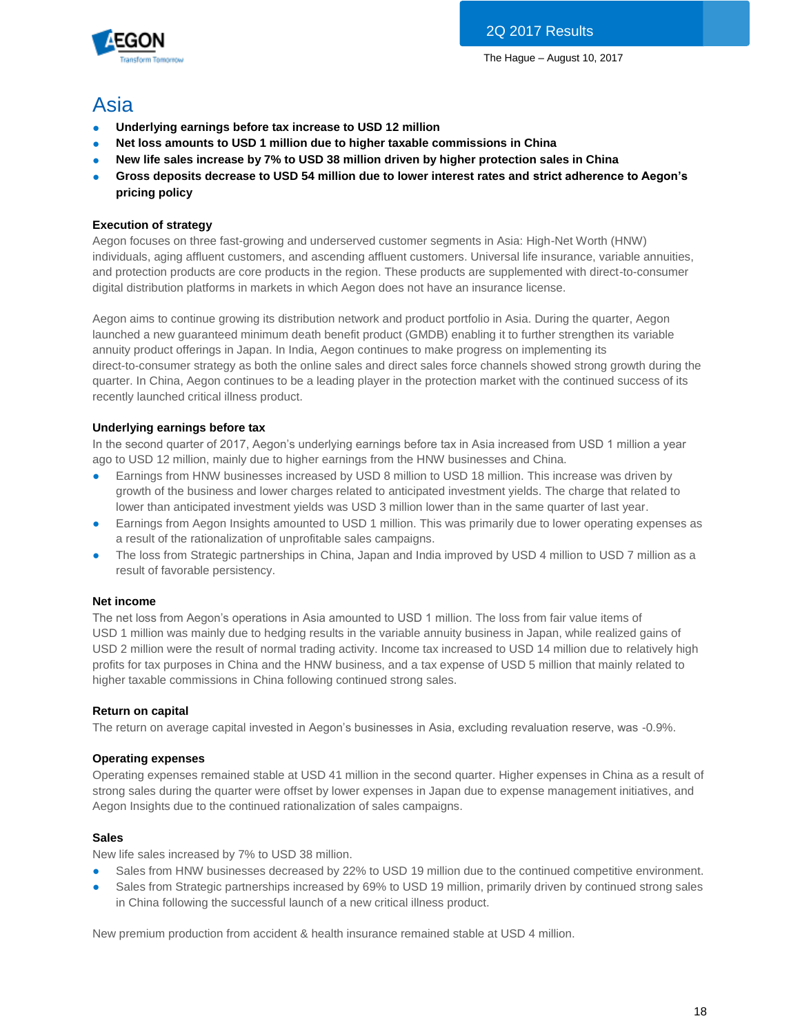

## Asia

- **Underlying earnings before tax increase to USD 12 million**
- Net loss amounts to USD 1 million due to higher taxable commissions in China
- New life sales increase by 7% to USD 38 million driven by higher protection sales in China
- Gross deposits decrease to USD 54 million due to lower interest rates and strict adherence to Aegon's **pricing policy**

## **Execution of strategy**

Aegon focuses on three fast-growing and underserved customer segments in Asia: High-Net Worth (HNW) individuals, aging affluent customers, and ascending affluent customers. Universal life insurance, variable annuities, and protection products are core products in the region. These products are supplemented with direct-to-consumer digital distribution platforms in markets in which Aegon does not have an insurance license.

Aegon aims to continue growing its distribution network and product portfolio in Asia. During the quarter, Aegon launched a new guaranteed minimum death benefit product (GMDB) enabling it to further strengthen its variable annuity product offerings in Japan. In India, Aegon continues to make progress on implementing its direct-to-consumer strategy as both the online sales and direct sales force channels showed strong growth during the quarter. In China, Aegon continues to be a leading player in the protection market with the continued success of its recently launched critical illness product.

## **Underlying earnings before tax**

In the second quarter of 2017, Aegon's underlying earnings before tax in Asia increased from USD 1 million a year ago to USD 12 million, mainly due to higher earnings from the HNW businesses and China.

- Earnings from HNW businesses increased by USD 8 million to USD 18 million. This increase was driven by growth of the business and lower charges related to anticipated investment yields. The charge that related to lower than anticipated investment yields was USD 3 million lower than in the same quarter of last year.
- Earnings from Aegon Insights amounted to USD 1 million. This was primarily due to lower operating expenses as a result of the rationalization of unprofitable sales campaigns.
- The loss from Strategic partnerships in China, Japan and India improved by USD 4 million to USD 7 million as a result of favorable persistency.

## **Net income**

The net loss from Aegon's operations in Asia amounted to USD 1 million. The loss from fair value items of USD 1 million was mainly due to hedging results in the variable annuity business in Japan, while realized gains of USD 2 million were the result of normal trading activity. Income tax increased to USD 14 million due to relatively high profits for tax purposes in China and the HNW business, and a tax expense of USD 5 million that mainly related to higher taxable commissions in China following continued strong sales.

## **Return on capital**

The return on average capital invested in Aegon's businesses in Asia, excluding revaluation reserve, was -0.9%.

## **Operating expenses**

Operating expenses remained stable at USD 41 million in the second quarter. Higher expenses in China as a result of strong sales during the quarter were offset by lower expenses in Japan due to expense management initiatives, and Aegon Insights due to the continued rationalization of sales campaigns.

## **Sales**

New life sales increased by 7% to USD 38 million.

- Sales from HNW businesses decreased by 22% to USD 19 million due to the continued competitive environment.
- Sales from Strategic partnerships increased by 69% to USD 19 million, primarily driven by continued strong sales in China following the successful launch of a new critical illness product.

New premium production from accident & health insurance remained stable at USD 4 million.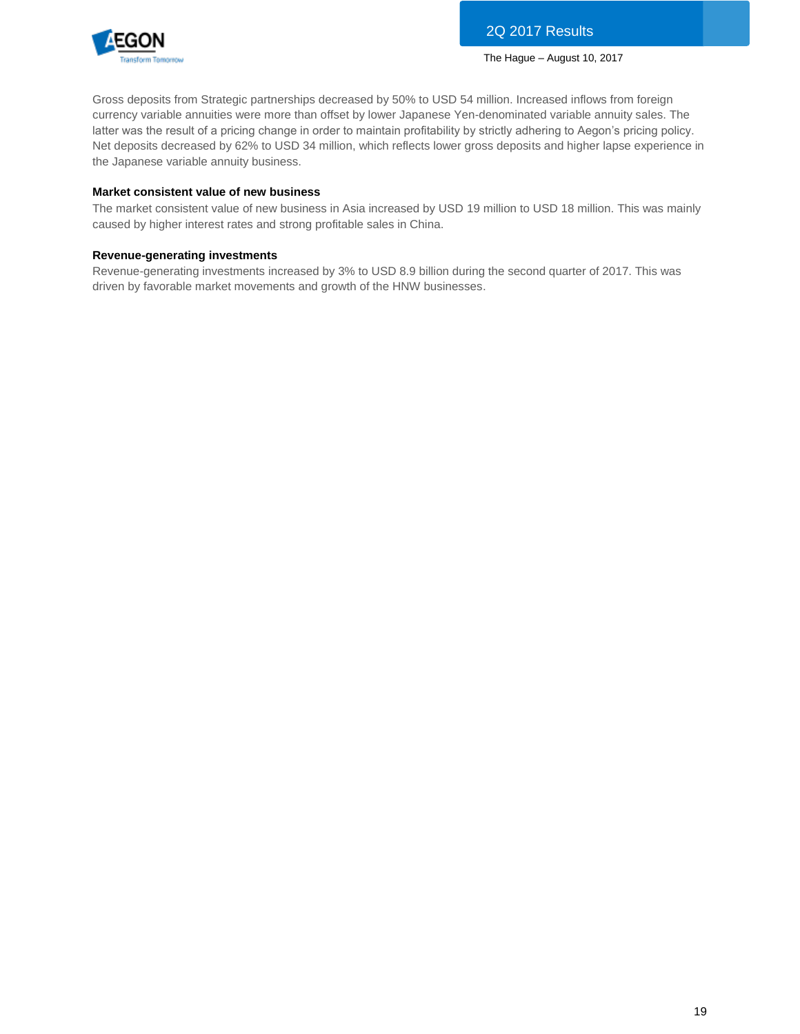

Gross deposits from Strategic partnerships decreased by 50% to USD 54 million. Increased inflows from foreign currency variable annuities were more than offset by lower Japanese Yen-denominated variable annuity sales. The latter was the result of a pricing change in order to maintain profitability by strictly adhering to Aegon's pricing policy. Net deposits decreased by 62% to USD 34 million, which reflects lower gross deposits and higher lapse experience in the Japanese variable annuity business.

### **Market consistent value of new business**

The market consistent value of new business in Asia increased by USD 19 million to USD 18 million. This was mainly caused by higher interest rates and strong profitable sales in China.

### **Revenue-generating investments**

Revenue-generating investments increased by 3% to USD 8.9 billion during the second quarter of 2017. This was driven by favorable market movements and growth of the HNW businesses.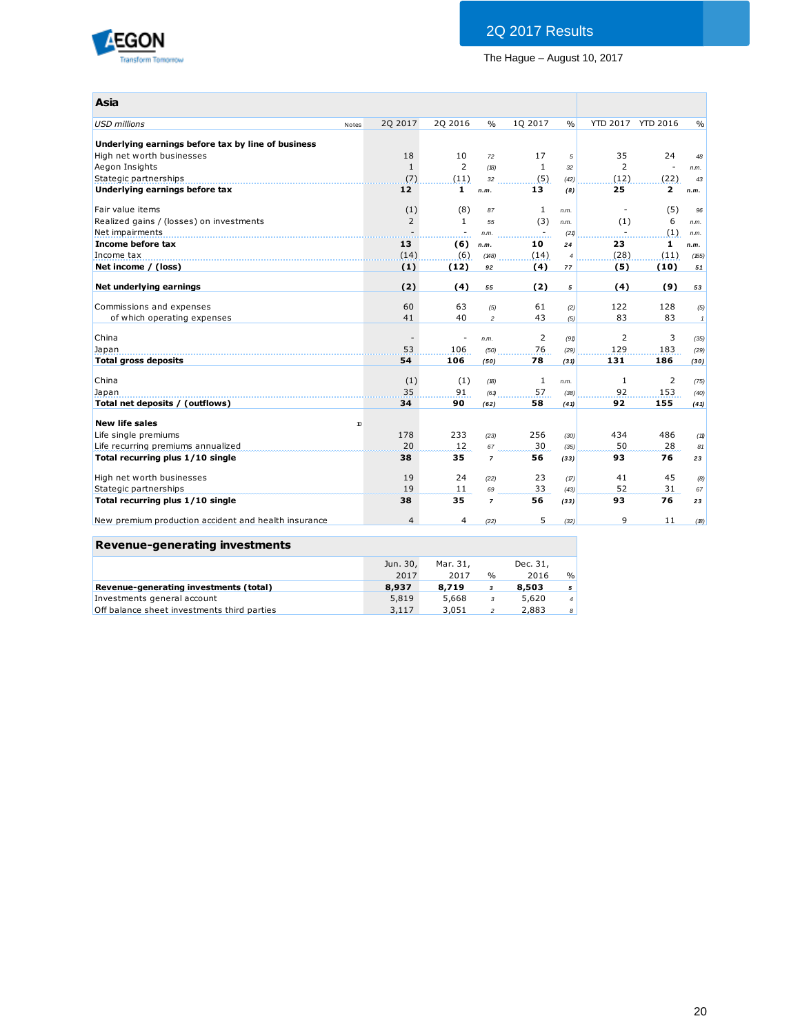

| Asia                                                 |                  |                          |                  |                |                |                |                   |              |
|------------------------------------------------------|------------------|--------------------------|------------------|----------------|----------------|----------------|-------------------|--------------|
| <b>USD millions</b>                                  | 2Q 2017<br>Notes | 2Q 2016                  | $\frac{0}{0}$    | 1Q 2017        | $\frac{0}{0}$  |                | YTD 2017 YTD 2016 | $\%$         |
|                                                      |                  |                          |                  |                |                |                |                   |              |
| Underlying earnings before tax by line of business   |                  |                          |                  |                |                |                |                   |              |
| High net worth businesses                            | 18               | 10                       | 72               | 17             | 5              | 35             | 24                | 48           |
| Aegon Insights                                       | $\mathbf{1}$     | $\overline{2}$           | (B)              | 1              | 32             | 2              | $\sim$            | n.m.         |
| Stategic partnerships                                | (7)              | (11)                     | 32               | (5)            | (42)           | (12)           | (22)              | 43           |
| Underlying earnings before tax                       | 12               | $\mathbf{1}$             | n.m.             | 13             | (8)            | 25             | $\mathbf{2}$      | n.m.         |
| Fair value items                                     | (1)              | (8)                      | 87               | 1              | n.m.           | $\sim$         | (5)               | 96           |
| Realized gains / (losses) on investments             | 2                | 1                        | 55               | (3)            | n.m.           | (1)            | 6                 | n.m.         |
| Net impairments                                      |                  | $\omega$                 | n.m.             | $\blacksquare$ | (21)           |                | (1)               | n.m.         |
| Income before tax                                    | 13               | (6)                      | n.m.             | 10             | 24             | 23             | 1                 | n.m.         |
| Income tax                                           | (14)             | (6)                      | (148)            | (14)           | $\overline{4}$ | (28)           | (11)              | (165)        |
| Net income / (loss)                                  | (1)              | (12)                     | 92               | (4)            | 77             | (5)            | (10)              | 51           |
| Net underlying earnings                              | (2)              | (4)                      | 55               | (2)            | 5              | (4)            | (9)               | 53           |
| Commissions and expenses                             | 60               | 63                       | (5)              | 61             | (2)            | 122            | 128               | (5)          |
| of which operating expenses                          | 41               | 40                       | $\boldsymbol{2}$ | 43             | (5)            | 83             | 83                | $\mathbf{1}$ |
|                                                      |                  |                          |                  |                |                |                |                   |              |
| China                                                |                  | $\overline{\phantom{a}}$ | n.m.             | $\overline{2}$ | (91)           | $\overline{2}$ | 3                 | (35)         |
| Japan                                                | 53               | 106                      | (50)             | 76             | (29)           | 129            | 183               | (29)         |
| <b>Total gross deposits</b>                          | 54               | 106                      | (50)             | 78             | (31)           | 131            | 186               | (30)         |
| China                                                | (1)              | (1)                      | (18)             | $\mathbf{1}$   | n.m.           | $\mathbf{1}$   | $\overline{2}$    | (75)         |
| Japan                                                | 35               | 91                       | (61)             | 57             | (38)           | 92             | 153               | (40)         |
| Total net deposits / (outflows)                      | 34               | 90                       | (62)             | 58             | (41)           | 92             | 155               | (41)         |
| <b>New life sales</b>                                | 10               |                          |                  |                |                |                |                   |              |
| Life single premiums                                 | 178              | 233                      | (23)             | 256            | (30)           | 434            | 486               | (11)         |
| Life recurring premiums annualized                   | 20               | 12                       | 67               | 30             | (35)           | 50             | 28                | 81           |
| Total recurring plus 1/10 single                     | 38               | 35                       | $\overline{7}$   | 56             | (33)           | 93             | 76                | 23           |
| High net worth businesses                            | 19               | 24                       | (22)             | 23             | (17)           | 41             | 45                | (8)          |
| Stategic partnerships                                | 19               | 11                       | 69               | 33             | (43)           | 52             | 31                | 67           |
| Total recurring plus 1/10 single                     | 38               | 35                       | $\overline{7}$   | 56             | (33)           | 93             | 76                | 23           |
| New premium production accident and health insurance | $\overline{4}$   | $\overline{4}$           | (22)             | 5              | (32)           | 9              | 11                | (18)         |
| <b>Revenue-generating investments</b>                |                  |                          |                  |                |                |                |                   |              |
|                                                      | Jun. 30,         | Mar. 31,                 |                  | Dec. 31,       |                |                |                   |              |
|                                                      | 2017             | 2017                     | $\%$             | 2016           | $\%$           |                |                   |              |
| Revenue-generating investments (total)               | 8.937            | 8.719                    | 3                | 8,503          | 5              |                |                   |              |

**Revenue-generating investments (total) 8,937 8,719** *3* **8,503** *5* Investments general account<br>
Investments general account<br>
Off balance sheet investments third parties<br>
3,117 3,051 2 2,883 8 Off balance sheet investments third parties 3,117 3,051 *2* 2,883 *8*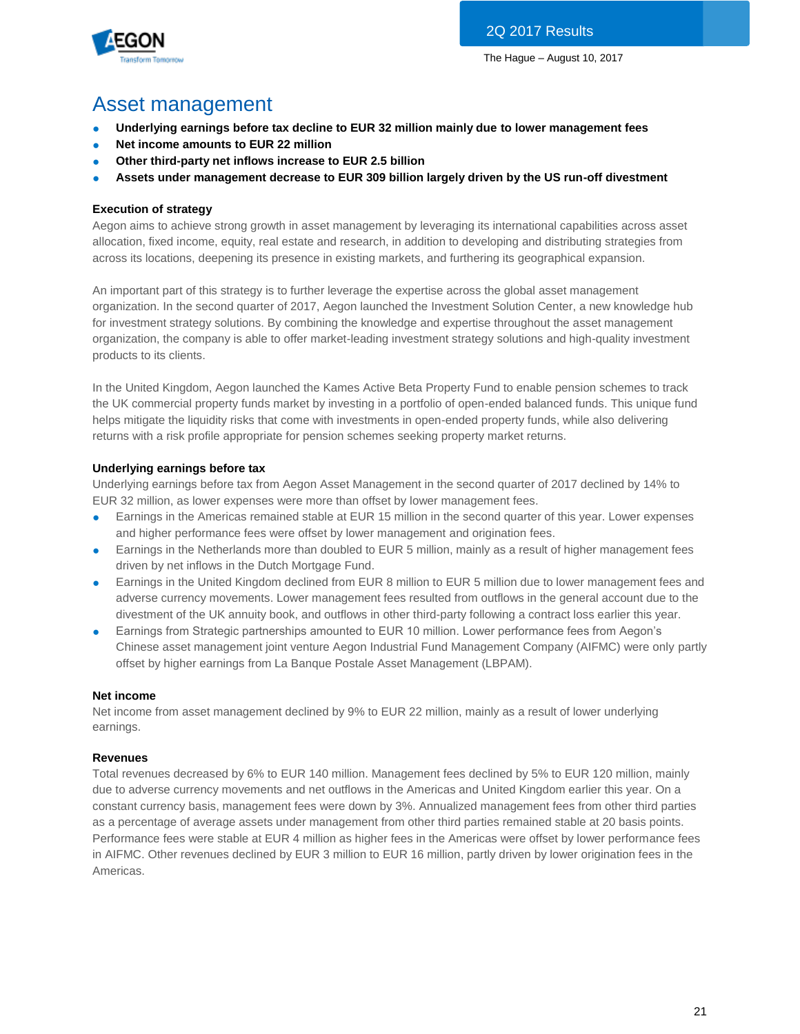

# Asset management

- **Underlying earnings before tax decline to EUR 32 million mainly due to lower management fees**
- **Net income amounts to EUR 22 million**
- **Other third-party net inflows increase to EUR 2.5 billion**
- Assets under management decrease to EUR 309 billion largely driven by the US run-off divestment

## **Execution of strategy**

Aegon aims to achieve strong growth in asset management by leveraging its international capabilities across asset allocation, fixed income, equity, real estate and research, in addition to developing and distributing strategies from across its locations, deepening its presence in existing markets, and furthering its geographical expansion.

An important part of this strategy is to further leverage the expertise across the global asset management organization. In the second quarter of 2017, Aegon launched the Investment Solution Center, a new knowledge hub for investment strategy solutions. By combining the knowledge and expertise throughout the asset management organization, the company is able to offer market-leading investment strategy solutions and high-quality investment products to its clients.

In the United Kingdom, Aegon launched the Kames Active Beta Property Fund to enable pension schemes to track the UK commercial property funds market by investing in a portfolio of open-ended balanced funds. This unique fund helps mitigate the liquidity risks that come with investments in open-ended property funds, while also delivering returns with a risk profile appropriate for pension schemes seeking property market returns.

## **Underlying earnings before tax**

Underlying earnings before tax from Aegon Asset Management in the second quarter of 2017 declined by 14% to EUR 32 million, as lower expenses were more than offset by lower management fees.

- Earnings in the Americas remained stable at EUR 15 million in the second quarter of this year. Lower expenses and higher performance fees were offset by lower management and origination fees.
- Earnings in the Netherlands more than doubled to EUR 5 million, mainly as a result of higher management fees driven by net inflows in the Dutch Mortgage Fund.
- Earnings in the United Kingdom declined from EUR 8 million to EUR 5 million due to lower management fees and adverse currency movements. Lower management fees resulted from outflows in the general account due to the divestment of the UK annuity book, and outflows in other third-party following a contract loss earlier this year.
- Earnings from Strategic partnerships amounted to EUR 10 million. Lower performance fees from Aegon's Chinese asset management joint venture Aegon Industrial Fund Management Company (AIFMC) were only partly offset by higher earnings from La Banque Postale Asset Management (LBPAM).

## **Net income**

Net income from asset management declined by 9% to EUR 22 million, mainly as a result of lower underlying earnings.

## **Revenues**

Total revenues decreased by 6% to EUR 140 million. Management fees declined by 5% to EUR 120 million, mainly due to adverse currency movements and net outflows in the Americas and United Kingdom earlier this year. On a constant currency basis, management fees were down by 3%. Annualized management fees from other third parties as a percentage of average assets under management from other third parties remained stable at 20 basis points. Performance fees were stable at EUR 4 million as higher fees in the Americas were offset by lower performance fees in AIFMC. Other revenues declined by EUR 3 million to EUR 16 million, partly driven by lower origination fees in the Americas.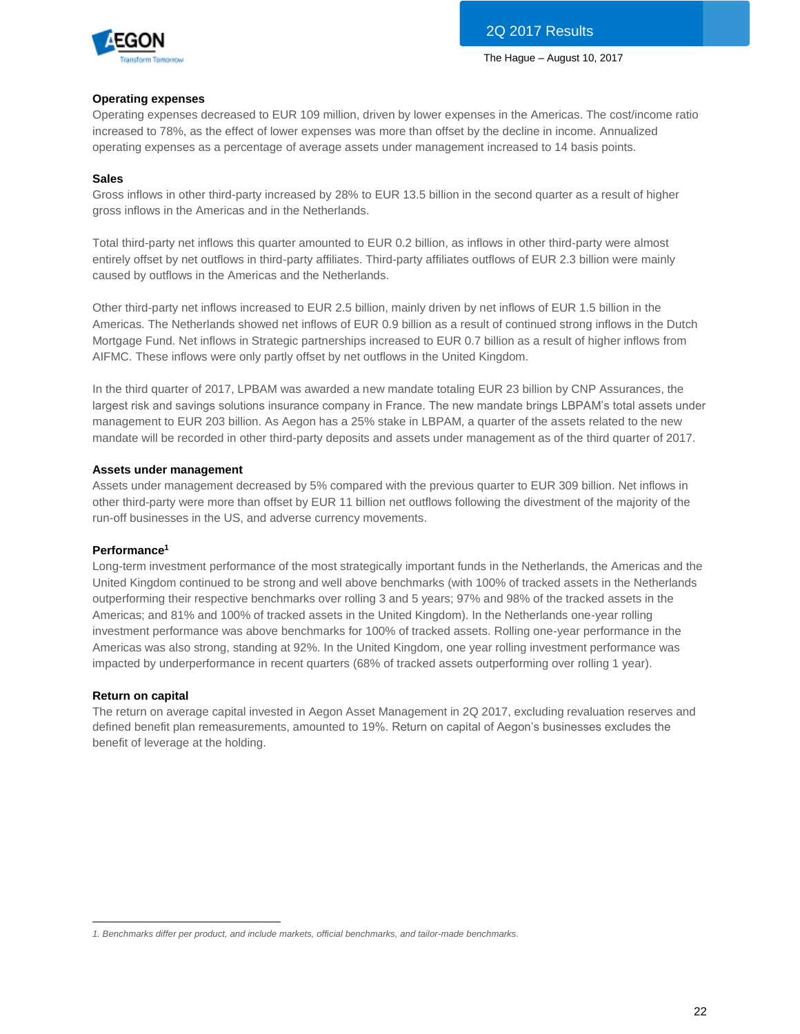

### **Operating expenses**

Operating expenses decreased to EUR 109 million, driven by lower expenses in the Americas. The cost/income ratio increased to 78%, as the effect of lower expenses was more than offset by the decline in income. Annualized operating expenses as a percentage of average assets under management increased to 14 basis points.

### **Sales**

Gross inflows in other third-party increased by 28% to EUR 13.5 billion in the second quarter as a result of higher gross inflows in the Americas and in the Netherlands.

Total third-party net inflows this quarter amounted to EUR 0.2 billion, as inflows in other third-party were almost entirely offset by net outflows in third-party affiliates. Third-party affiliates outflows of EUR 2.3 billion were mainly caused by outflows in the Americas and the Netherlands.

Other third-party net inflows increased to EUR 2.5 billion, mainly driven by net inflows of EUR 1.5 billion in the Americas. The Netherlands showed net inflows of EUR 0.9 billion as a result of continued strong inflows in the Dutch Mortgage Fund. Net inflows in Strategic partnerships increased to EUR 0.7 billion as a result of higher inflows from AIFMC. These inflows were only partly offset by net outflows in the United Kingdom.

In the third quarter of 2017, LPBAM was awarded a new mandate totaling EUR 23 billion by CNP Assurances, the largest risk and savings solutions insurance company in France. The new mandate brings LBPAM's total assets under management to EUR 203 billion. As Aegon has a 25% stake in LBPAM, a quarter of the assets related to the new mandate will be recorded in other third-party deposits and assets under management as of the third quarter of 2017.

### **Assets under management**

Assets under management decreased by 5% compared with the previous quarter to EUR 309 billion. Net inflows in other third-party were more than offset by EUR 11 billion net outflows following the divestment of the majority of the run-off businesses in the US, and adverse currency movements.

### **Performance<sup>1</sup>**

Long-term investment performance of the most strategically important funds in the Netherlands, the Americas and the United Kingdom continued to be strong and well above benchmarks (with 100% of tracked assets in the Netherlands outperforming their respective benchmarks over rolling 3 and 5 years; 97% and 98% of the tracked assets in the Americas; and 81% and 100% of tracked assets in the United Kingdom). In the Netherlands one-year rolling investment performance was above benchmarks for 100% of tracked assets. Rolling one-year performance in the Americas was also strong, standing at 92%. In the United Kingdom, one year rolling investment performance was impacted by underperformance in recent quarters (68% of tracked assets outperforming over rolling 1 year).

#### **Return on capital**

The return on average capital invested in Aegon Asset Management in 2Q 2017, excluding revaluation reserves and defined benefit plan remeasurements, amounted to 19%. Return on capital of Aegon's businesses excludes the benefit of leverage at the holding.

 $\overline{a}$ *1. Benchmarks differ per product, and include markets, official benchmarks, and tailor-made benchmarks.*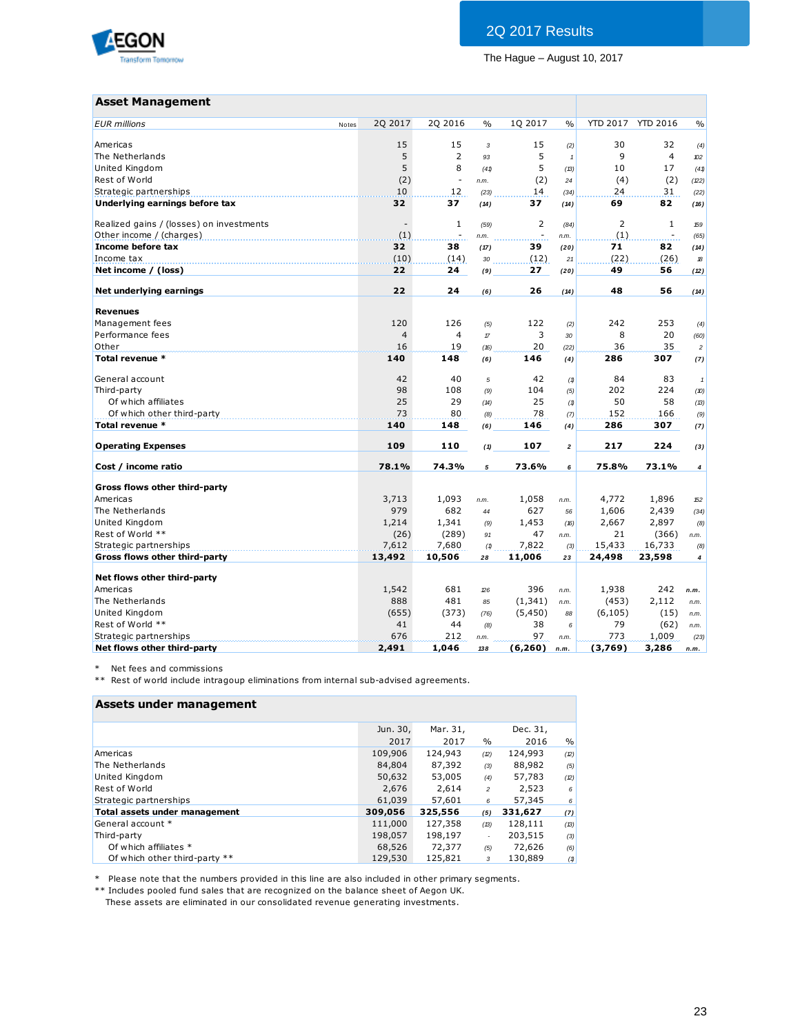

## **Asset Management**

| <b>Asset Management</b>                  |                |                |               |                     |                |                 |                          |                     |
|------------------------------------------|----------------|----------------|---------------|---------------------|----------------|-----------------|--------------------------|---------------------|
| <b>EUR</b> millions<br>Notes             | 2Q 2017        | 2Q 2016        | $\%$          | 1Q 2017             | $\frac{0}{0}$  | <b>YTD 2017</b> | <b>YTD 2016</b>          | $\frac{0}{0}$       |
| Americas                                 | 15             | 15             | 3             | 15                  | (2)            | 30              | 32                       | (4)                 |
| The Netherlands                          | 5              | $\overline{2}$ | 93            | 5                   | $\overline{1}$ | 9               | $\overline{4}$           | 102                 |
| United Kingdom                           | 5              | 8              | (41)          | 5                   | (B)            | 10              | 17                       | (41)                |
| Rest of World                            | (2)            | $\blacksquare$ | n.m.          | (2)                 | 24             | (4)             | (2)                      | (22)                |
| Strategic partnerships                   | 10             | 12             | (23)          | 14                  | (34)           | 24              | 31                       | (22)                |
| Underlying earnings before tax           | 32             | 37             | (14)          | 37                  | (14)           | 69              | 82                       | (16)                |
| Realized gains / (losses) on investments |                | $\mathbf{1}$   | (59)          | 2                   | (84)           | $\overline{2}$  | $1\,$                    | 159                 |
| Other income / (charges)                 | (1)            | $\mathbf{r}$   | n.m.          | $\bar{\phantom{a}}$ | n.m.           | (1)             | $\overline{\phantom{a}}$ | (65)                |
| Income before tax                        | 32             | 38             | (17)          | 39                  | (20)           | 71              | 82                       | (14)                |
| Income tax                               | (10)           | (14)           | 30            | (12)                | 21             | (22)            | (26)                     | $\mathcal B$        |
| Net income / (loss)                      | 22             | 24             | (9)           | 27                  | (20)           | 49              | 56                       | (12)                |
| Net underlying earnings                  | 22             | 24             | (6)           | 26                  | (14)           | 48              | 56                       | (14)                |
| <b>Revenues</b>                          |                |                |               |                     |                |                 |                          |                     |
| Management fees                          | 120            | 126            | (5)           | 122                 | (2)            | 242             | 253                      | (4)                 |
| Performance fees                         | $\overline{4}$ | 4              | $\mathcal{T}$ | 3                   | 30             | 8               | 20                       | (60)                |
| Other                                    | 16             | 19             | (16)          | 20                  | (22)           | 36              | 35                       | $\overline{c}$      |
| Total revenue *                          | 140            | 148            | (6)           | 146                 | (4)            | 286             | 307                      | (7)                 |
|                                          |                |                |               |                     |                |                 |                          |                     |
| General account                          | 42             | 40             | 5             | 42                  | (1)            | 84              | 83                       | $\mathbf{1}$        |
| Third-party                              | 98             | 108            | (9)           | 104                 | (5)            | 202             | 224                      | (10)                |
| Of which affiliates                      | 25             | 29             | (14)          | 25                  | (1)            | 50              | 58                       | (13)                |
| Of which other third-party               | 73             | 80             | (8)           | 78                  | (7)            | 152             | 166                      | (9)                 |
| Total revenue *                          | 140            | 148            | (6)           | 146                 | (4)            | 286             | 307                      | (7)                 |
| <b>Operating Expenses</b>                | 109            | 110            | (1)           | 107                 | $\overline{a}$ | 217             | 224                      | (3)                 |
| Cost / income ratio                      | 78.1%          | 74.3%          | 5             | 73.6%               | 6              | 75.8%           | 73.1%                    | $\overline{\bf{4}}$ |
| Gross flows other third-party            |                |                |               |                     |                |                 |                          |                     |
| Americas                                 | 3,713          | 1,093          | n.m.          | 1,058               | n.m.           | 4,772           | 1,896                    | 152                 |
| The Netherlands                          | 979            | 682            | 44            | 627                 | 56             | 1,606           | 2,439                    | (34)                |
| United Kingdom                           | 1,214          | 1,341          | (9)           | 1,453               | (16)           | 2,667           | 2,897                    | (8)                 |
| Rest of World **                         | (26)           | (289)          | 91            | 47                  | n.m.           | 21              | (366)                    | n.m.                |
| Strategic partnerships                   | 7,612          | 7,680          | (1)           | 7,822               | (3)            | 15,433          | 16,733                   | (8)                 |
| Gross flows other third-party            | 13,492         | 10,506         | 28            | 11,006              | 23             | 24,498          | 23,598                   | $\boldsymbol{4}$    |
| Net flows other third-party              |                |                |               |                     |                |                 |                          |                     |
| Americas                                 | 1,542          | 681            | 26            | 396                 | n.m.           | 1,938           | 242                      | n.m.                |
| The Netherlands                          | 888            | 481            | 85            | (1, 341)            | n.m.           | (453)           | 2,112                    | n.m.                |
| United Kingdom                           | (655)          | (373)          | (76)          | (5, 450)            | 88             | (6, 105)        | (15)                     | n.m.                |
| Rest of World **                         | 41             | 44             | (8)           | 38                  | 6              | 79              | (62)                     | n.m.                |
| Strategic partnerships                   | 676            | 212            | n.m.          | 97                  | n.m.           | 773             | 1,009                    | (23)                |
| Net flows other third-party              | 2,491          | 1,046          | 138           | (6,260)             | n.m.           | (3,769)         | 3,286                    | n.m.                |

\* Net fees and commissions

\*\* Rest of world include intragoup eliminations from internal sub-advised agreements.

### **Assets under management**

|                                      | Jun. 30, | Mar. 31, |                | Dec. 31, |      |
|--------------------------------------|----------|----------|----------------|----------|------|
|                                      | 2017     | 2017     | $\%$           | 2016     | $\%$ |
| Americas                             | 109,906  | 124,943  | (2)            | 124,993  | (2)  |
| The Netherlands                      | 84,804   | 87,392   | (3)            | 88,982   | (5)  |
| United Kingdom                       | 50,632   | 53,005   | (4)            | 57,783   | (2)  |
| Rest of World                        | 2,676    | 2.614    | $\overline{c}$ | 2,523    | 6    |
| Strategic partnerships               | 61,039   | 57,601   | 6              | 57,345   | 6    |
| <b>Total assets under management</b> | 309,056  | 325,556  | (5)            | 331,627  | (7)  |
| General account *                    | 111,000  | 127,358  | (13)           | 128,111  | (13) |
| Third-party                          | 198,057  | 198,197  |                | 203,515  | (3)  |
| Of which affiliates *                | 68,526   | 72,377   | (5)            | 72,626   | (6)  |
| Of which other third-party **        | 129,530  | 125,821  | 3              | 130,889  | (1)  |

\* Please note that the numbers provided in this line are also included in other primary segments.

\*\* Includes pooled fund sales that are recognized on the balance sheet of Aegon UK.

These assets are eliminated in our consolidated revenue generating investments.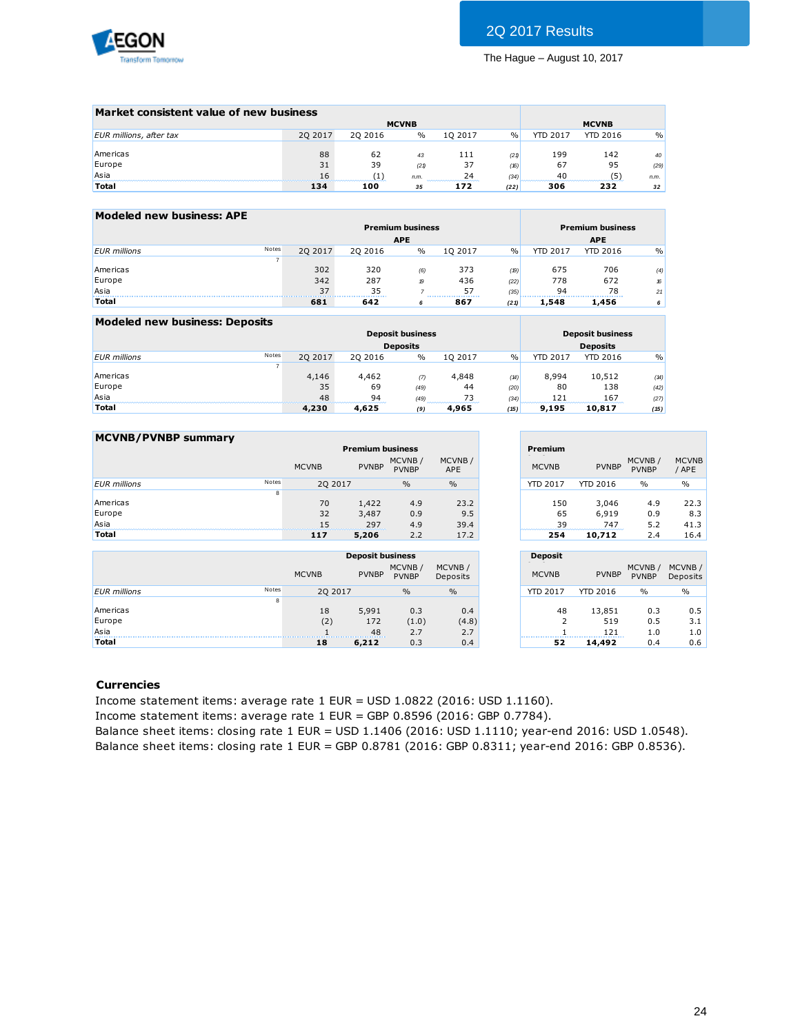

| Market consistent value of new business |         |          |              |                             |               |                 |                 |               |
|-----------------------------------------|---------|----------|--------------|-----------------------------|---------------|-----------------|-----------------|---------------|
|                                         |         |          | <b>MCVNB</b> |                             |               |                 | <b>MCVNB</b>    |               |
| EUR millions, after tax                 | 20 2017 | 20 20 16 | $\%$         | 10 2017                     | $\frac{0}{0}$ | <b>YTD 2017</b> | <b>YTD 2016</b> | $\frac{0}{0}$ |
|                                         |         |          |              |                             |               |                 |                 |               |
| Americas                                | 88      | 62       | 43           | 111                         | (21)          | 199             | 142             | 40            |
| Europe                                  | 31      | 39       | (21)         | 37                          | (16)          | 67              | 95              | (29)          |
| Asia                                    | 16      |          | n.m.         | 24<br>--------------------- | (34)          | 40              | ΄5΄             | n.m.          |
| <b>Total</b>                            | 134     | 100      | 35           | 172                         | (22)          | 306             | 232             | 32            |
|                                         |         |          |              |                             |               |                 |                 |               |

| Modeled new business: APE |       |         |          |                         |         |               |                 |                         |               |
|---------------------------|-------|---------|----------|-------------------------|---------|---------------|-----------------|-------------------------|---------------|
|                           |       |         |          | <b>Premium business</b> |         |               |                 | <b>Premium business</b> |               |
|                           |       |         |          | <b>APE</b>              |         |               |                 | <b>APE</b>              |               |
| <b>EUR</b> millions       | Notes | 20 2017 | 20 20 16 | $\%$                    | 10 2017 | $\frac{0}{0}$ | <b>YTD 2017</b> | <b>YTD 2016</b>         | $\frac{0}{0}$ |
|                           |       |         |          |                         |         |               |                 |                         |               |
| Americas                  |       | 302     | 320      | (6)                     | 373     | (19)          | 675             | 706                     | (4)           |
| Europe                    |       | 342     | 287      | $\boldsymbol{p}$        | 436     | (22)          | 778             | 672                     | 16            |
| Asia                      |       | 37      | 35       |                         | 57      | (35)          | 94              | 78                      | 21            |
| <b>Total</b>              |       | 681     | 642      | 6                       | 867     | (21)          | 1,548           | 1,456                   | 6             |

| Modeled new business: Deposits |       |         |         |                         |         |               |                 |                         |               |
|--------------------------------|-------|---------|---------|-------------------------|---------|---------------|-----------------|-------------------------|---------------|
|                                |       |         |         | <b>Deposit business</b> |         |               |                 | <b>Deposit business</b> |               |
|                                |       |         |         | <b>Deposits</b>         |         |               |                 | <b>Deposits</b>         |               |
| <b>EUR</b> millions            | Notes | 20 2017 | 20 2016 | $\frac{0}{0}$           | 10 2017 | $\frac{0}{0}$ | <b>YTD 2017</b> | <b>YTD 2016</b>         | $\frac{0}{0}$ |
|                                |       |         |         |                         |         |               |                 |                         |               |
| Americas                       |       | 4,146   | 4,462   | $\sigma$                | 4,848   | (14)          | 8.994           | 10,512                  | (14)          |
| Europe                         |       | 35      | 69      | (49)                    | 44      | (20)          | 80              | 138                     | (42)          |
| Asia                           |       | 48      | 94      | (49)                    |         | (34)          | 121             | 167                     | (27)          |
| <b>Total</b>                   |       | 4,230   | 4,625   | (9)                     | 4,965   | (15)          | 9,195           | 10.817                  | (15)          |

| <b>MCVNB/PVNBP summary</b> |       |              |                         |                        |                      |                 |              |                        |                       |
|----------------------------|-------|--------------|-------------------------|------------------------|----------------------|-----------------|--------------|------------------------|-----------------------|
|                            |       |              | <b>Premium business</b> |                        |                      | Premium         |              |                        |                       |
|                            |       | <b>MCVNB</b> | <b>PVNBP</b>            | MCVNB/<br><b>PVNBP</b> | MCVNB/<br><b>APE</b> | <b>MCVNB</b>    | <b>PVNBP</b> | MCVNB/<br><b>PVNBP</b> | <b>MCVNB</b><br>/ APE |
| <b>EUR</b> millions        | Notes | 20 20 17     |                         | $\frac{0}{0}$          | $\%$                 | <b>YTD 2017</b> | YTD 2016     | $\frac{0}{0}$          | $\frac{0}{0}$         |
|                            | 8     |              |                         |                        |                      |                 |              |                        |                       |
| Americas                   |       | 70           | 1,422                   | 4.9                    | 23.2                 | 150             | 3,046        | 4.9                    | 22.3                  |
| Europe                     |       | 32           | 3,487                   | 0.9                    | 9.5                  | 65              | 6.919        | 0.9                    | 8.3                   |
| Asia                       |       | 15           | 297                     | 4.9                    | 39.4                 | 39              | 747          | 5.2                    | 41.3                  |
| <b>Total</b>               |       | 117          | 5,206                   | 2.2                    | 17.2                 | 254             | 10,712       | 2.4                    | 16.4                  |
|                            |       |              | <b>Deposit business</b> |                        |                      | <b>Deposit</b>  |              |                        |                       |
|                            |       |              |                         | MCVNB/                 | MCVNB/               |                 |              | MCVNB /                | MCVNB/                |

|                     |       |              | <b>Deposit business</b> |                        |                    |
|---------------------|-------|--------------|-------------------------|------------------------|--------------------|
|                     |       | <b>MCVNB</b> | <b>PVNBP</b>            | MCVNB/<br><b>PVNBP</b> | MCVNB/<br>Deposits |
| <b>EUR</b> millions | Notes | 20 20 17     |                         | $\frac{0}{0}$          | $\frac{0}{0}$      |
|                     | 8     |              |                         |                        |                    |
| Americas            |       | 18           | 5,991                   | 0.3                    | 0.4                |
| Europe              |       | (2)          | 172                     | (1.0)                  | (4.8)              |
| Asia                |       |              | 48                      | 2.7                    | 2.7                |
| <b>Total</b>        |       | 18           | 6,212                   | 0.3                    | 0.4                |

|               | Premium         |                 |                        |                       |
|---------------|-----------------|-----------------|------------------------|-----------------------|
| CVNB/<br>APE  | <b>MCVNB</b>    | <b>PVNBP</b>    | MCVNB/<br><b>PVNBP</b> | <b>MCVNB</b><br>/ APE |
| $\frac{0}{0}$ | <b>YTD 2017</b> | <b>YTD 2016</b> | $\frac{0}{0}$          | $\frac{0}{0}$         |
|               |                 |                 |                        |                       |
| 23.2          | 150             | 3,046           | 4.9                    | 22.3                  |
| 9.5           | 65              | 6,919           | 0.9                    | 8.3                   |
| 39.4          | 39              | 747             | 5.2                    | 41.3                  |
| 17.2          | 254             | 10,712          | 2.4                    | 16.4                  |

|                     | <b>Deposit</b>       |                      |                        |                    |
|---------------------|----------------------|----------------------|------------------------|--------------------|
| MCVNB/<br>Deposits  | <b>MCVNB</b>         | <b>PVNBP</b>         | MCVNB/<br><b>PVNBP</b> | MCVNB/<br>Deposits |
| $\frac{0}{0}$       | <b>YTD 2017</b>      | <b>YTD 2016</b>      | $\frac{0}{0}$          | $\frac{0}{0}$      |
| 0.4<br>(4.8)<br>2.7 | 48<br>$\overline{2}$ | 13,851<br>519<br>121 | 0.3<br>0.5<br>1.0      | 0.5<br>3.1<br>1.0  |
| 0.4                 | 52                   | 14,492               | 0.4                    | 0.6                |

### **Currencies**

Income statement items: average rate 1 EUR = USD 1.0822 (2016: USD 1.1160).

Income statement items: average rate 1 EUR = GBP 0.8596 (2016: GBP 0.7784).

Balance sheet items: closing rate 1 EUR = USD 1.1406 (2016: USD 1.1110; year-end 2016: USD 1.0548). Balance sheet items: closing rate 1 EUR = GBP 0.8781 (2016: GBP 0.8311; year-end 2016: GBP 0.8536).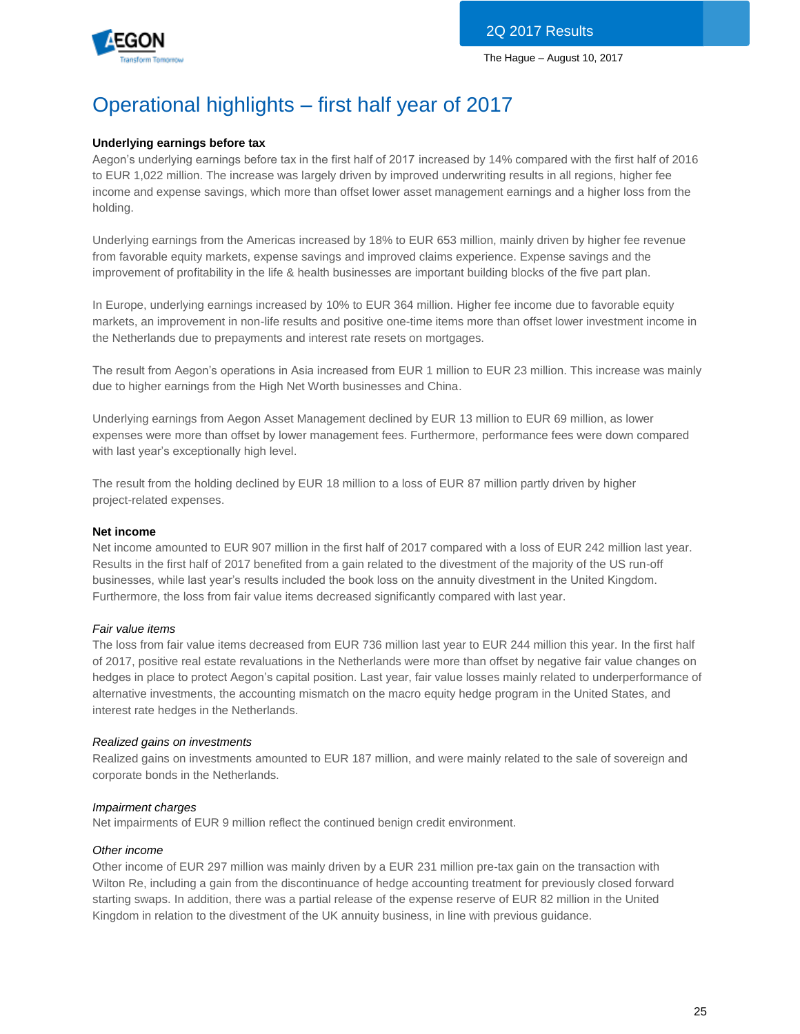

# Operational highlights – first half year of 2017

## **Underlying earnings before tax**

Aegon's underlying earnings before tax in the first half of 2017 increased by 14% compared with the first half of 2016 to EUR 1,022 million. The increase was largely driven by improved underwriting results in all regions, higher fee income and expense savings, which more than offset lower asset management earnings and a higher loss from the holding.

Underlying earnings from the Americas increased by 18% to EUR 653 million, mainly driven by higher fee revenue from favorable equity markets, expense savings and improved claims experience. Expense savings and the improvement of profitability in the life & health businesses are important building blocks of the five part plan.

In Europe, underlying earnings increased by 10% to EUR 364 million. Higher fee income due to favorable equity markets, an improvement in non-life results and positive one-time items more than offset lower investment income in the Netherlands due to prepayments and interest rate resets on mortgages.

The result from Aegon's operations in Asia increased from EUR 1 million to EUR 23 million. This increase was mainly due to higher earnings from the High Net Worth businesses and China.

Underlying earnings from Aegon Asset Management declined by EUR 13 million to EUR 69 million, as lower expenses were more than offset by lower management fees. Furthermore, performance fees were down compared with last year's exceptionally high level.

The result from the holding declined by EUR 18 million to a loss of EUR 87 million partly driven by higher project-related expenses.

### **Net income**

Net income amounted to EUR 907 million in the first half of 2017 compared with a loss of EUR 242 million last year. Results in the first half of 2017 benefited from a gain related to the divestment of the majority of the US run-off businesses, while last year's results included the book loss on the annuity divestment in the United Kingdom. Furthermore, the loss from fair value items decreased significantly compared with last year.

### *Fair value items*

The loss from fair value items decreased from EUR 736 million last year to EUR 244 million this year. In the first half of 2017, positive real estate revaluations in the Netherlands were more than offset by negative fair value changes on hedges in place to protect Aegon's capital position. Last year, fair value losses mainly related to underperformance of alternative investments, the accounting mismatch on the macro equity hedge program in the United States, and interest rate hedges in the Netherlands.

### *Realized gains on investments*

Realized gains on investments amounted to EUR 187 million, and were mainly related to the sale of sovereign and corporate bonds in the Netherlands.

### *Impairment charges*

Net impairments of EUR 9 million reflect the continued benign credit environment.

### *Other income*

Other income of EUR 297 million was mainly driven by a EUR 231 million pre-tax gain on the transaction with Wilton Re, including a gain from the discontinuance of hedge accounting treatment for previously closed forward starting swaps. In addition, there was a partial release of the expense reserve of EUR 82 million in the United Kingdom in relation to the divestment of the UK annuity business, in line with previous guidance.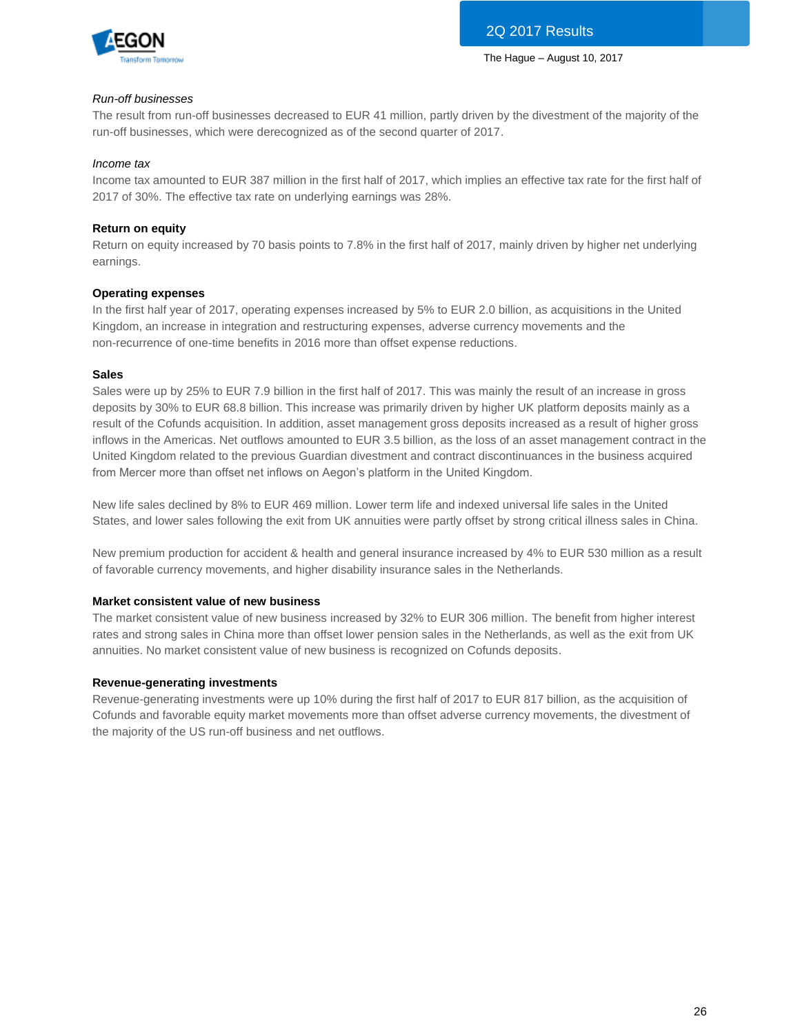

### *Run-off businesses*

The result from run-off businesses decreased to EUR 41 million, partly driven by the divestment of the majority of the run-off businesses, which were derecognized as of the second quarter of 2017.

### *Income tax*

Income tax amounted to EUR 387 million in the first half of 2017, which implies an effective tax rate for the first half of 2017 of 30%. The effective tax rate on underlying earnings was 28%.

## **Return on equity**

Return on equity increased by 70 basis points to 7.8% in the first half of 2017, mainly driven by higher net underlying earnings.

## **Operating expenses**

In the first half year of 2017, operating expenses increased by 5% to EUR 2.0 billion, as acquisitions in the United Kingdom, an increase in integration and restructuring expenses, adverse currency movements and the non-recurrence of one-time benefits in 2016 more than offset expense reductions.

### **Sales**

Sales were up by 25% to EUR 7.9 billion in the first half of 2017. This was mainly the result of an increase in gross deposits by 30% to EUR 68.8 billion. This increase was primarily driven by higher UK platform deposits mainly as a result of the Cofunds acquisition. In addition, asset management gross deposits increased as a result of higher gross inflows in the Americas. Net outflows amounted to EUR 3.5 billion, as the loss of an asset management contract in the United Kingdom related to the previous Guardian divestment and contract discontinuances in the business acquired from Mercer more than offset net inflows on Aegon's platform in the United Kingdom.

New life sales declined by 8% to EUR 469 million. Lower term life and indexed universal life sales in the United States, and lower sales following the exit from UK annuities were partly offset by strong critical illness sales in China.

New premium production for accident & health and general insurance increased by 4% to EUR 530 million as a result of favorable currency movements, and higher disability insurance sales in the Netherlands.

### **Market consistent value of new business**

The market consistent value of new business increased by 32% to EUR 306 million. The benefit from higher interest rates and strong sales in China more than offset lower pension sales in the Netherlands, as well as the exit from UK annuities. No market consistent value of new business is recognized on Cofunds deposits.

### **Revenue-generating investments**

Revenue-generating investments were up 10% during the first half of 2017 to EUR 817 billion, as the acquisition of Cofunds and favorable equity market movements more than offset adverse currency movements, the divestment of the majority of the US run-off business and net outflows.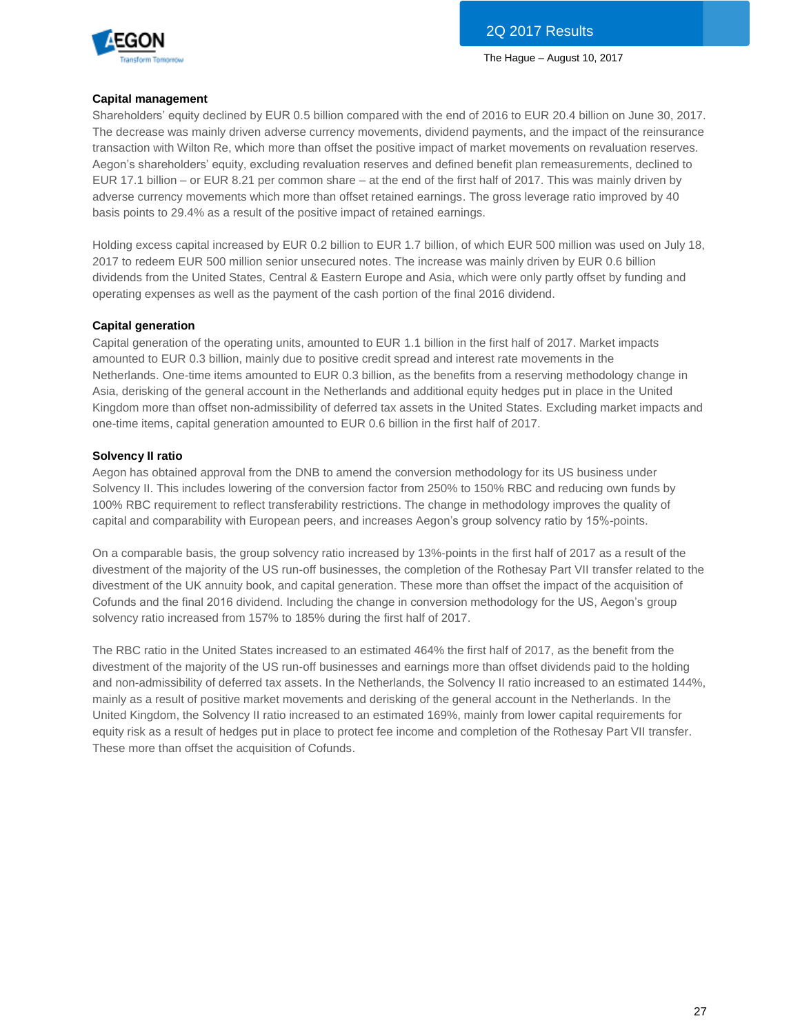

### **Capital management**

Shareholders' equity declined by EUR 0.5 billion compared with the end of 2016 to EUR 20.4 billion on June 30, 2017. The decrease was mainly driven adverse currency movements, dividend payments, and the impact of the reinsurance transaction with Wilton Re, which more than offset the positive impact of market movements on revaluation reserves. Aegon's shareholders' equity, excluding revaluation reserves and defined benefit plan remeasurements, declined to EUR 17.1 billion – or EUR 8.21 per common share – at the end of the first half of 2017. This was mainly driven by adverse currency movements which more than offset retained earnings. The gross leverage ratio improved by 40 basis points to 29.4% as a result of the positive impact of retained earnings.

Holding excess capital increased by EUR 0.2 billion to EUR 1.7 billion, of which EUR 500 million was used on July 18, 2017 to redeem EUR 500 million senior unsecured notes. The increase was mainly driven by EUR 0.6 billion dividends from the United States, Central & Eastern Europe and Asia, which were only partly offset by funding and operating expenses as well as the payment of the cash portion of the final 2016 dividend.

## **Capital generation**

Capital generation of the operating units, amounted to EUR 1.1 billion in the first half of 2017. Market impacts amounted to EUR 0.3 billion, mainly due to positive credit spread and interest rate movements in the Netherlands. One-time items amounted to EUR 0.3 billion, as the benefits from a reserving methodology change in Asia, derisking of the general account in the Netherlands and additional equity hedges put in place in the United Kingdom more than offset non-admissibility of deferred tax assets in the United States. Excluding market impacts and one-time items, capital generation amounted to EUR 0.6 billion in the first half of 2017.

## **Solvency II ratio**

Aegon has obtained approval from the DNB to amend the conversion methodology for its US business under Solvency II. This includes lowering of the conversion factor from 250% to 150% RBC and reducing own funds by 100% RBC requirement to reflect transferability restrictions. The change in methodology improves the quality of capital and comparability with European peers, and increases Aegon's group solvency ratio by 15%-points.

On a comparable basis, the group solvency ratio increased by 13%-points in the first half of 2017 as a result of the divestment of the majority of the US run-off businesses, the completion of the Rothesay Part VII transfer related to the divestment of the UK annuity book, and capital generation. These more than offset the impact of the acquisition of Cofunds and the final 2016 dividend. Including the change in conversion methodology for the US, Aegon's group solvency ratio increased from 157% to 185% during the first half of 2017.

The RBC ratio in the United States increased to an estimated 464% the first half of 2017, as the benefit from the divestment of the majority of the US run-off businesses and earnings more than offset dividends paid to the holding and non-admissibility of deferred tax assets. In the Netherlands, the Solvency II ratio increased to an estimated 144%, mainly as a result of positive market movements and derisking of the general account in the Netherlands. In the United Kingdom, the Solvency II ratio increased to an estimated 169%, mainly from lower capital requirements for equity risk as a result of hedges put in place to protect fee income and completion of the Rothesay Part VII transfer. These more than offset the acquisition of Cofunds.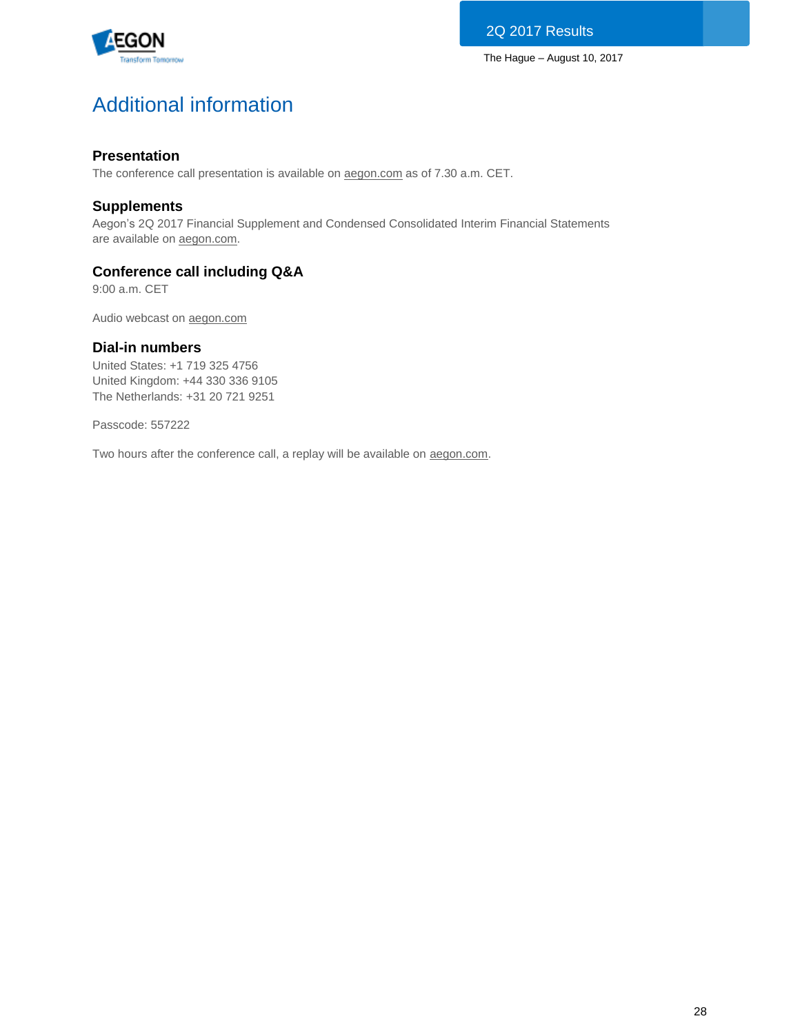

# Additional information

## **Presentation**

The conference call presentation is available on [aegon.com](http://www.aegon.com/results) as of 7.30 a.m. CET.

## **Supplements**

Aegon's 2Q 2017 Financial Supplement and Condensed Consolidated Interim Financial Statements are available on [aegon.com.](http://www.aegon.com/results)

## **Conference call including Q&A**

9:00 a.m. CET

Audio webcast on [aegon.com](http://www.aegon.com/results)

## **Dial-in numbers**

United States: +1 719 325 4756 United Kingdom: +44 330 336 9105 The Netherlands: +31 20 721 9251

Passcode: 557222

Two hours after the conference call, a replay will be available on [aegon.com.](http://www.aegon.com/results)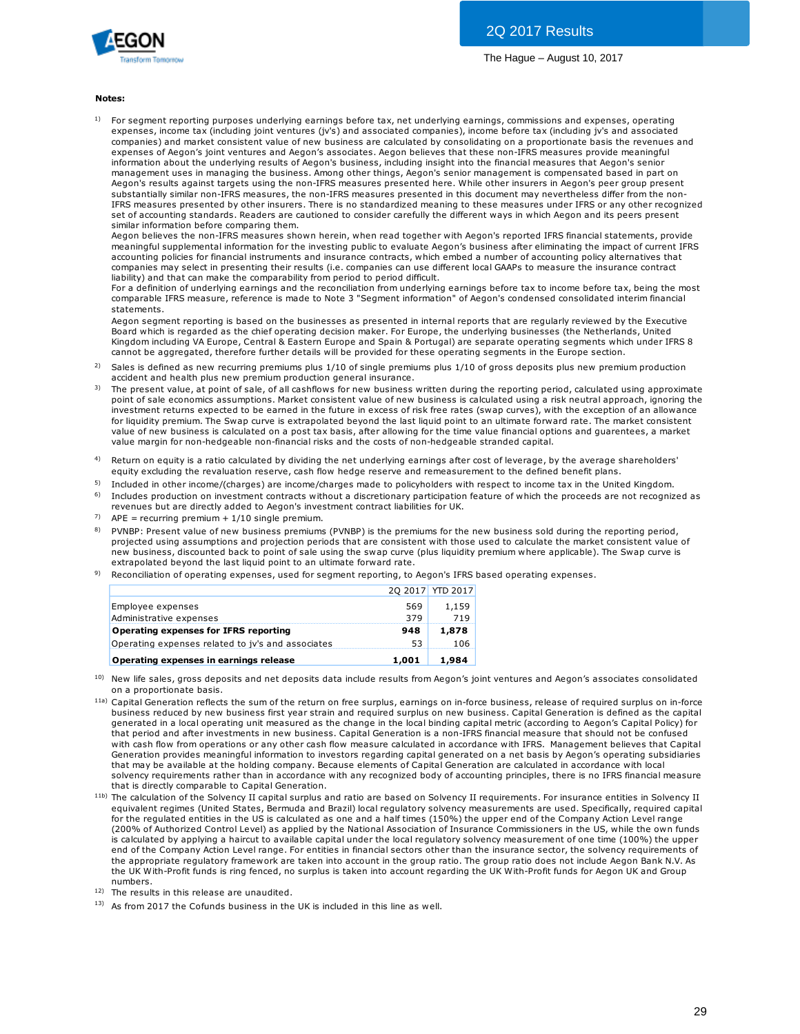

#### **Notes:**

1) For segment reporting purposes underlying earnings before tax, net underlying earnings, commissions and expenses, operating expenses, income tax (including joint ventures (jv's) and associated companies), income before tax (including jv's and associated **es:**<br>For segment reporting purposes underlying earnings before tax, net underlying earnings, commissions and expenses, operating<br>expenses, income tax (including joint ventures (jv's) and associated companies), income befo expenses of Aegon's joint ventures and Aegon's associates. Aegon believes that these non-IFRS measures provide meaningful information about the underlying results of Aegon's business, including insight into the financial measures that Aegon's senior management uses in managing the business. Among other things, Aegon's senior management is compensated based in part on Aegon's results against targets using the non-IFRS measures presented here. While other insurers in Aegon's peer group present substantially similar non-IFRS measures, the non-IFRS measures presented in this document may nevertheless differ from the non-IFRS measures presented by other insurers. There is no standardized meaning to these measures under IFRS or any other recognized set of accounting standards. Readers are cautioned to consider carefully the different ways in which Aegon and its peers present similar information before comparing them.

Aegon believes the non-IFRS measures shown herein, when read together with Aegon's reported IFRS financial statements, provide meaningful supplemental information for the investing public to evaluate Aegon's business after eliminating the impact of current IFRS accounting policies for financial instruments and insurance contracts, which embed a number of accounting policy alternatives that companies may select in presenting their results (i.e. companies can use different local GAAPs to measure the insurance contract liability) and that can make the comparability from period to period difficult.

For a definition of underlying earnings and the reconciliation from underlying earnings before tax to income before tax, being the most comparable IFRS measure, reference is made to Note 3 "Segment information" of Aegon's condensed consolidated interim financial statements.

Aegon segment reporting is based on the businesses as presented in internal reports that are regularly reviewed by the Executive Board which is regarded as the chief operating decision maker. For Europe, the underlying businesses (the Netherlands, United Kingdom including VA Europe, Central & Eastern Europe and Spain & Portugal) are separate operating segments which under IFRS 8 cannot be aggregated, therefore further details will be provided for these operating segments in the Europe section. statements.<br>Aegon segment reporting is based on the businesses as presented in internal reports that are regularly reviewed by the Executive<br>Board which is regarded as the chief operating decision maker. For Europe, the un Aegon segment reporting is based on the businesses as presented ir<br>Board which is regarded as the chief operating decision maker. For Ekingdom including VA Europe, Central & Eastern Europe and Spain & l<br>Cannot be aggregate Board which is regarded as the chief operating decision maker. For Europe, the underlying businesses (the Netherlands, United Kingdom including VA Europe, Central & Eastern Europe and Spain & Portugal) are separate operati

- 2)
- 3) Kingdom including VA Europe, Central & Eastern Europe and Spain & Portugal) are separate operating segments which under IFRS 8<br>cannot be aggregated, therefore further details will be provided for these operating segments i investment returns expected to be earned in the future in excess of risk free rates (swap curves), with the exception of an allowance for liquidity premium. The Swap curve is extrapolated beyond the last liquid point to an ultimate forward rate. The market consistent Sales is defined as new recurring premiums plus 1/10 of single premiums plus 1/10 of gross deposits plus new premium production accident and health plus new premium production general insurance.<br>The present value, at point value margin for non-hedgeable non-financial risks and the costs of non-hedgeable stranded capital. value of new business is calculated on a post tax basis, after allowing for the time value financial options and quarentees, a market
- 4) Return on equity is a ratio calculated by dividing the net underlying earnings after cost of leverage, by the average shareholders'<br>equity excluding the revaluation reserve, cash flow hedge reserve and remeasurement to the
- 5) Included in other income/(charges) are income/charges made to policyholders with respect to income tax in the United Kingdom.
- 6) Includes production on investment contracts without a discretionary participation feature of which the proceeds are not recognized as revenues but are directly added to Aegon's investment contract liabilities for UK.
- 7)  $APE = recurring$  premium + 1/10 single premium.
- 8) equity excluding the revaluation reserve, cash how hedge reserve and remeasurement to the delined benefit plans.<br>Included in other income/(charges) are income/charges made to policyholders with respect to income tax in the projected using assumptions and projection periods that are consistent with those used to calculate the market consistent value of PVNBP: Present value of new business premiums (PVNBP) is the premiums for the new business sold during the reporting period, projected using assumptions and projection periods that are consistent with those used to calcula extrapolated beyond the last liquid point to an ultimate forward rate.
- 9) Reconciliation of operating expenses, used for segment reporting, to Aegon's IFRS based operating expenses.

|                                                   |       | 20 2017 YTD 2017 |
|---------------------------------------------------|-------|------------------|
| Employee expenses                                 | 569   | 1,159            |
| Administrative expenses                           | 379   | 719              |
| Operating expenses for IFRS reporting             | 948   | 1,878            |
| Operating expenses related to jv's and associates | 53    | 106              |
| Operating expenses in earnings release            | 1.001 | 1,984            |

- 10) on a proportionate basis.
- <sup>11a)</sup> Capital Generation reflects the sum of the return on free surplus, earnings on in-force business, release of required surplus on in-force **Operating expenses in earnings release** 1,001 1,984<br>New life sales, gross deposits and net deposits data include results from Aegon's joint ventures and Aegon's associates consolidated<br>On a proportionate basis.<br>Capital Ge New life sales, gross deposits and net deposits data include results from Aegon's joint ventures and Aegon's associates consolidate<br>on a proportionate basis.<br>Capital Generation reflects the sum of the return on free surplu on a proportionate basis.<br>Capital Generation reflects the sum of the return on free surplus, earnings on in-force business, release of required surplus on in-force<br>business reduced by new business first year strain and req that may be available at the holding company. Because elements of Capital Generation are calculated in accordance with local solvency requirements rather than in accordance with any recognized body of accounting principles, there is no IFRS financial measure that is directly comparable to Capital Generation.
- 11b) The calculation of the Solvency II capital surplus and ratio are based on Solvency II requirements. For insurance entities in Solvency II equivalent regimes (United States, Bermuda and Brazil) local regulatory solvency measurements are used. Specifically, required capital for the regulated entities in the US is calculated as one and a half times (150%) the upper end of the Company Action Level range (200% of Authorized Control Level) as applied by the National Association of Insurance Commissioners in the US, while the own funds is calculated by applying a haircut to available capital under the local regulatory solvency measurement of one time (100%) the upper end of the Company Action Level range. For entities in financial sectors other than the insurance sector, the solvency requirements of the appropriate regulatory framework are taken into account in the group ratio. The group ratio does not include Aegon Bank N.V. As the UK With-Profit funds is ring fenced, no surplus is taken into account regarding the UK With-Profit funds for Aegon UK and Group numbers.

12) The results in this release are unaudited.

13) As from 2017 the Cofunds business in the UK is included in this line as well.